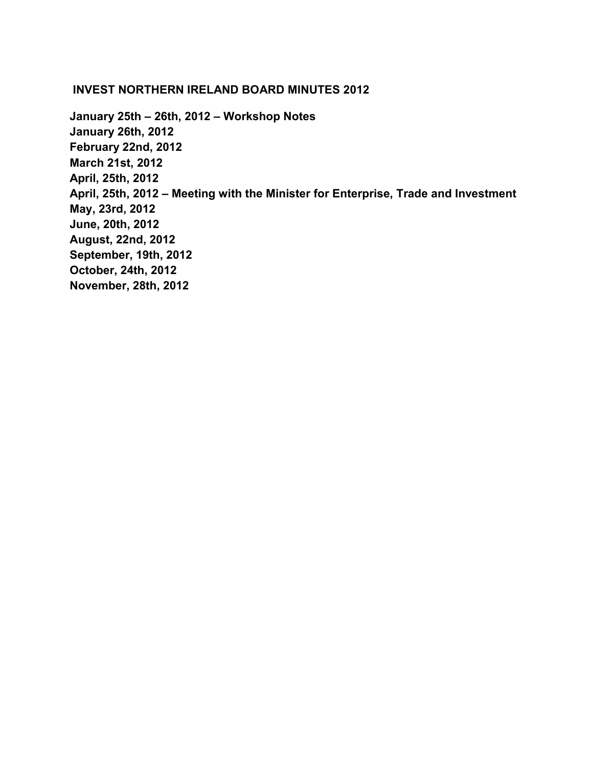#### **INVEST NORTHERN IRELAND BOARD MINUTES 2012**

**[January 25th – 26th, 2012 – Workshop Notes](#page-1-0) [January 26th, 2012](#page-13-0) [February 22nd, 2012](#page-18-0) [March 21st, 2012](#page-25-0) [April, 25th, 2012](#page-32-0) [April, 25th, 2012 – Meeting with the Minister for Enterprise, Trade and Investment](#page-39-0) [May, 23rd, 2012](#page-43-0) [June, 20th, 2012](#page-49-0) [August, 22nd, 2012](#page-57-0) [September, 19th, 2012](#page-63-0) [October, 24th, 2012](#page-69-0) [November, 28th, 2012](#page-76-0)**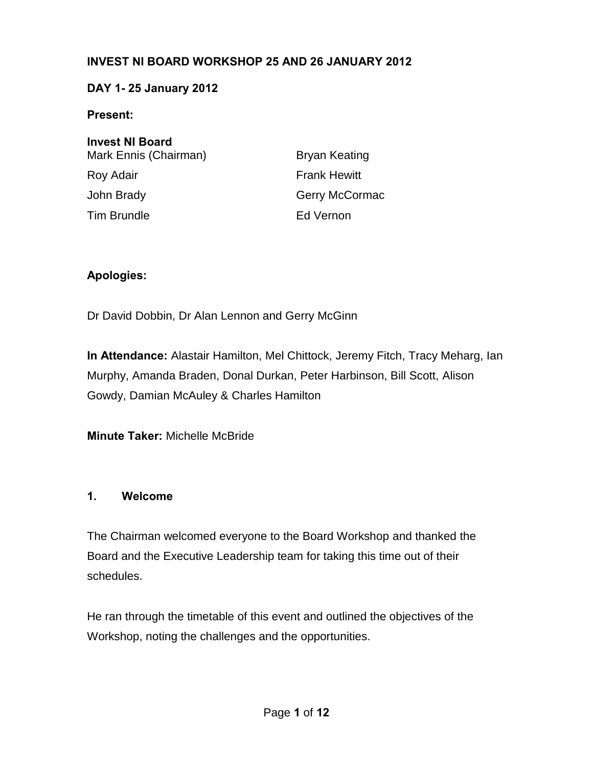#### <span id="page-1-0"></span>**INVEST NI BOARD WORKSHOP 25 AND 26 JANUARY 2012**

#### **DAY 1- 25 January 2012**

#### **Present:**

| <b>Invest NI Board</b> |                      |
|------------------------|----------------------|
| Mark Ennis (Chairman)  | <b>Bryan Keating</b> |
| Roy Adair              | <b>Frank Hewitt</b>  |
| John Brady             | Gerry McCormac       |
| <b>Tim Brundle</b>     | Ed Vernon            |

#### **Apologies:**

Dr David Dobbin, Dr Alan Lennon and Gerry McGinn

**In Attendance:** Alastair Hamilton, Mel Chittock, Jeremy Fitch, Tracy Meharg, Ian Murphy, Amanda Braden, Donal Durkan, Peter Harbinson, Bill Scott, Alison Gowdy, Damian McAuley & Charles Hamilton

**Minute Taker:** Michelle McBride

#### **1. Welcome**

The Chairman welcomed everyone to the Board Workshop and thanked the Board and the Executive Leadership team for taking this time out of their schedules.

He ran through the timetable of this event and outlined the objectives of the Workshop, noting the challenges and the opportunities.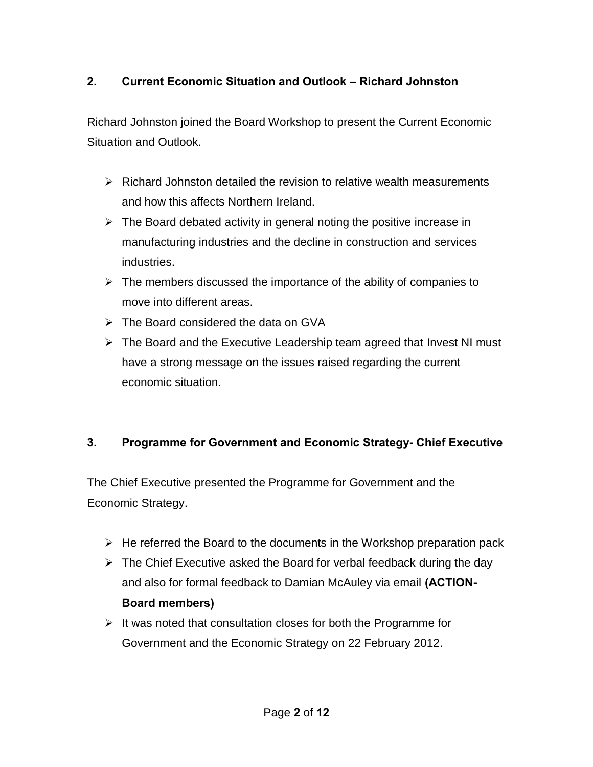# **2. Current Economic Situation and Outlook – Richard Johnston**

Richard Johnston joined the Board Workshop to present the Current Economic Situation and Outlook.

- $\triangleright$  Richard Johnston detailed the revision to relative wealth measurements and how this affects Northern Ireland.
- $\triangleright$  The Board debated activity in general noting the positive increase in manufacturing industries and the decline in construction and services industries.
- $\triangleright$  The members discussed the importance of the ability of companies to move into different areas.
- The Board considered the data on GVA
- $\triangleright$  The Board and the Executive Leadership team agreed that Invest NI must have a strong message on the issues raised regarding the current economic situation.

# **3. Programme for Government and Economic Strategy- Chief Executive**

The Chief Executive presented the Programme for Government and the Economic Strategy.

- $\triangleright$  He referred the Board to the documents in the Workshop preparation pack
- $\triangleright$  The Chief Executive asked the Board for verbal feedback during the day and also for formal feedback to Damian McAuley via email **(ACTION-Board members)**
- $\triangleright$  It was noted that consultation closes for both the Programme for Government and the Economic Strategy on 22 February 2012.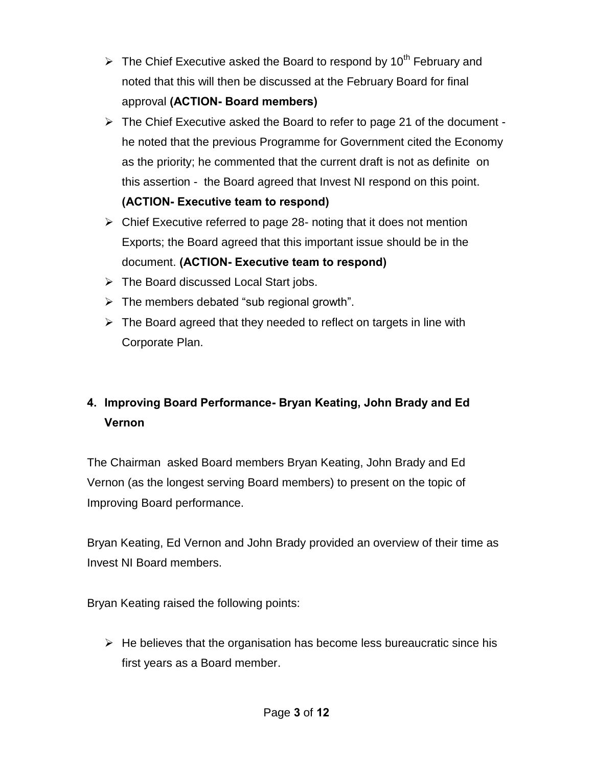- $\triangleright$  The Chief Executive asked the Board to respond by 10<sup>th</sup> February and noted that this will then be discussed at the February Board for final approval **(ACTION- Board members)**
- $\triangleright$  The Chief Executive asked the Board to refer to page 21 of the document he noted that the previous Programme for Government cited the Economy as the priority; he commented that the current draft is not as definite on this assertion - the Board agreed that Invest NI respond on this point. **(ACTION- Executive team to respond)**
- $\triangleright$  Chief Executive referred to page 28- noting that it does not mention Exports; the Board agreed that this important issue should be in the document. **(ACTION- Executive team to respond)**
- $\triangleright$  The Board discussed Local Start jobs.
- $\triangleright$  The members debated "sub regional growth".
- $\triangleright$  The Board agreed that they needed to reflect on targets in line with Corporate Plan.

# **4. Improving Board Performance- Bryan Keating, John Brady and Ed Vernon**

The Chairman asked Board members Bryan Keating, John Brady and Ed Vernon (as the longest serving Board members) to present on the topic of Improving Board performance.

Bryan Keating, Ed Vernon and John Brady provided an overview of their time as Invest NI Board members.

Bryan Keating raised the following points:

 $\triangleright$  He believes that the organisation has become less bureaucratic since his first years as a Board member.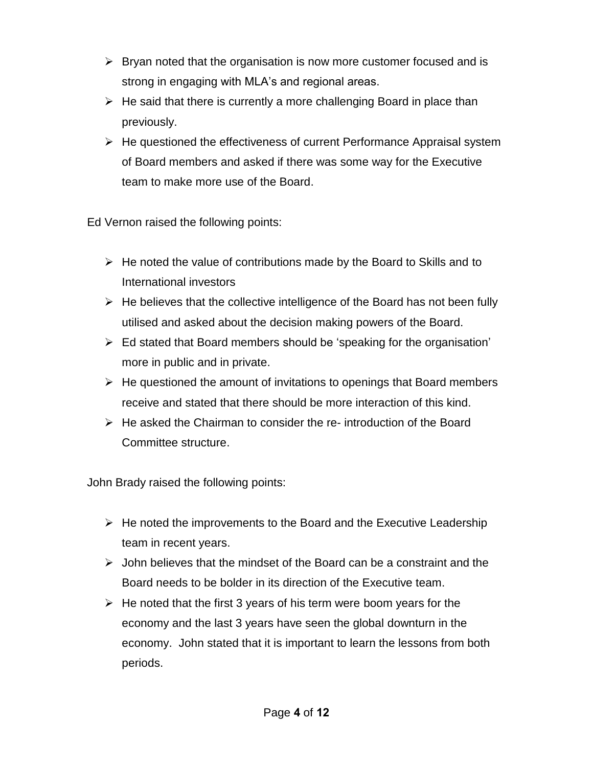- $\triangleright$  Bryan noted that the organisation is now more customer focused and is strong in engaging with MLA's and regional areas.
- $\triangleright$  He said that there is currently a more challenging Board in place than previously.
- $\triangleright$  He questioned the effectiveness of current Performance Appraisal system of Board members and asked if there was some way for the Executive team to make more use of the Board.

Ed Vernon raised the following points:

- $\triangleright$  He noted the value of contributions made by the Board to Skills and to International investors
- $\triangleright$  He believes that the collective intelligence of the Board has not been fully utilised and asked about the decision making powers of the Board.
- $\triangleright$  Ed stated that Board members should be 'speaking for the organisation' more in public and in private.
- $\triangleright$  He questioned the amount of invitations to openings that Board members receive and stated that there should be more interaction of this kind.
- $\triangleright$  He asked the Chairman to consider the re- introduction of the Board Committee structure.

John Brady raised the following points:

- $\triangleright$  He noted the improvements to the Board and the Executive Leadership team in recent years.
- $\triangleright$  John believes that the mindset of the Board can be a constraint and the Board needs to be bolder in its direction of the Executive team.
- $\triangleright$  He noted that the first 3 years of his term were boom years for the economy and the last 3 years have seen the global downturn in the economy. John stated that it is important to learn the lessons from both periods.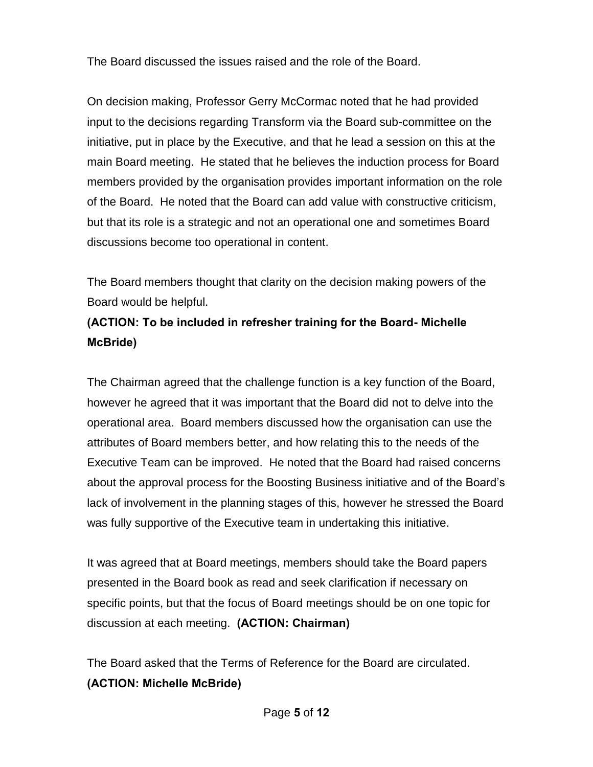The Board discussed the issues raised and the role of the Board.

On decision making, Professor Gerry McCormac noted that he had provided input to the decisions regarding Transform via the Board sub-committee on the initiative, put in place by the Executive, and that he lead a session on this at the main Board meeting. He stated that he believes the induction process for Board members provided by the organisation provides important information on the role of the Board. He noted that the Board can add value with constructive criticism, but that its role is a strategic and not an operational one and sometimes Board discussions become too operational in content.

The Board members thought that clarity on the decision making powers of the Board would be helpful.

# **(ACTION: To be included in refresher training for the Board- Michelle McBride)**

The Chairman agreed that the challenge function is a key function of the Board, however he agreed that it was important that the Board did not to delve into the operational area. Board members discussed how the organisation can use the attributes of Board members better, and how relating this to the needs of the Executive Team can be improved. He noted that the Board had raised concerns about the approval process for the Boosting Business initiative and of the Board's lack of involvement in the planning stages of this, however he stressed the Board was fully supportive of the Executive team in undertaking this initiative.

It was agreed that at Board meetings, members should take the Board papers presented in the Board book as read and seek clarification if necessary on specific points, but that the focus of Board meetings should be on one topic for discussion at each meeting. **(ACTION: Chairman)**

The Board asked that the Terms of Reference for the Board are circulated. **(ACTION: Michelle McBride)**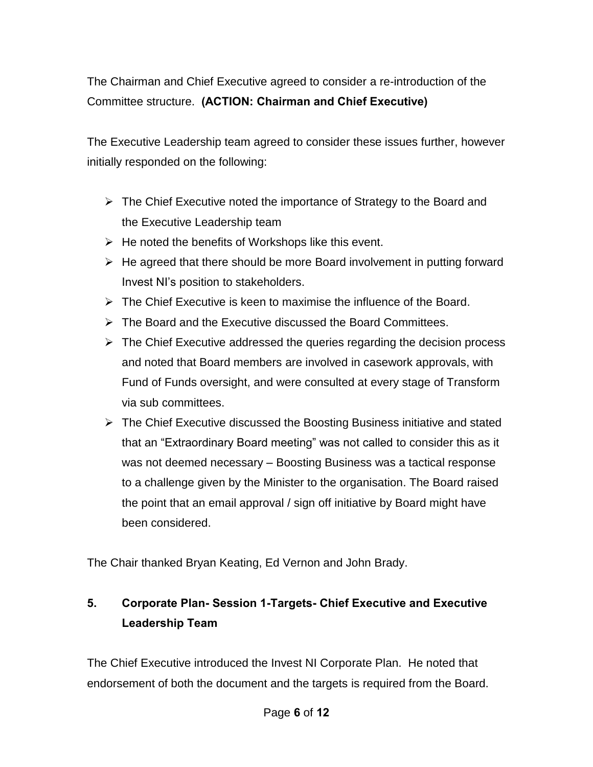The Chairman and Chief Executive agreed to consider a re-introduction of the Committee structure. **(ACTION: Chairman and Chief Executive)** 

The Executive Leadership team agreed to consider these issues further, however initially responded on the following:

- $\triangleright$  The Chief Executive noted the importance of Strategy to the Board and the Executive Leadership team
- $\triangleright$  He noted the benefits of Workshops like this event.
- $\triangleright$  He agreed that there should be more Board involvement in putting forward Invest NI's position to stakeholders.
- $\triangleright$  The Chief Executive is keen to maximise the influence of the Board.
- $\triangleright$  The Board and the Executive discussed the Board Committees.
- $\triangleright$  The Chief Executive addressed the queries regarding the decision process and noted that Board members are involved in casework approvals, with Fund of Funds oversight, and were consulted at every stage of Transform via sub committees.
- $\triangleright$  The Chief Executive discussed the Boosting Business initiative and stated that an "Extraordinary Board meeting" was not called to consider this as it was not deemed necessary – Boosting Business was a tactical response to a challenge given by the Minister to the organisation. The Board raised the point that an email approval / sign off initiative by Board might have been considered.

The Chair thanked Bryan Keating, Ed Vernon and John Brady.

# **5. Corporate Plan- Session 1-Targets- Chief Executive and Executive Leadership Team**

The Chief Executive introduced the Invest NI Corporate Plan. He noted that endorsement of both the document and the targets is required from the Board.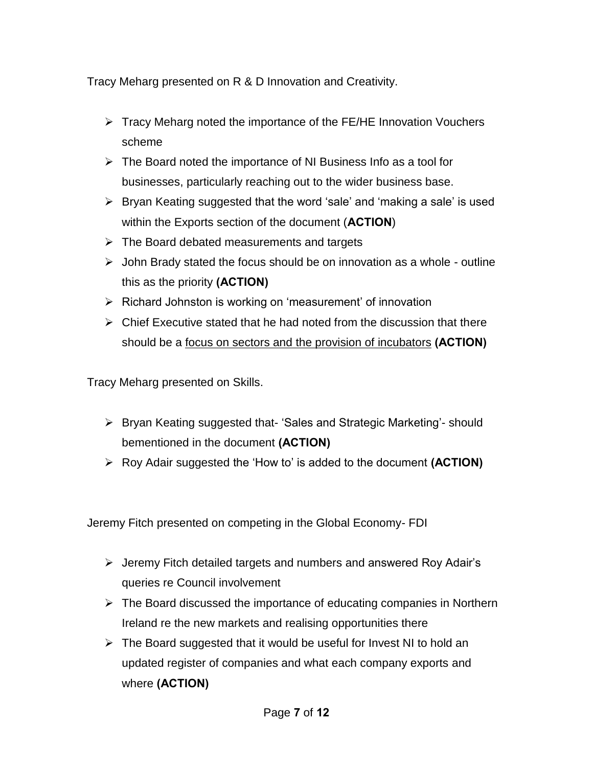Tracy Meharg presented on R & D Innovation and Creativity.

- $\triangleright$  Tracy Meharg noted the importance of the FE/HE Innovation Vouchers scheme
- $\triangleright$  The Board noted the importance of NI Business Info as a tool for businesses, particularly reaching out to the wider business base.
- $\triangleright$  Bryan Keating suggested that the word 'sale' and 'making a sale' is used within the Exports section of the document (**ACTION**)
- $\triangleright$  The Board debated measurements and targets
- $\triangleright$  John Brady stated the focus should be on innovation as a whole outline this as the priority **(ACTION)**
- $\triangleright$  Richard Johnston is working on 'measurement' of innovation
- $\triangleright$  Chief Executive stated that he had noted from the discussion that there should be a focus on sectors and the provision of incubators **(ACTION)**

Tracy Meharg presented on Skills.

- Bryan Keating suggested that- 'Sales and Strategic Marketing'- should bementioned in the document **(ACTION)**
- Roy Adair suggested the 'How to' is added to the document **(ACTION)**

Jeremy Fitch presented on competing in the Global Economy- FDI

- $\triangleright$  Jeremy Fitch detailed targets and numbers and answered Roy Adair's queries re Council involvement
- $\triangleright$  The Board discussed the importance of educating companies in Northern Ireland re the new markets and realising opportunities there
- $\triangleright$  The Board suggested that it would be useful for Invest NI to hold an updated register of companies and what each company exports and where **(ACTION)**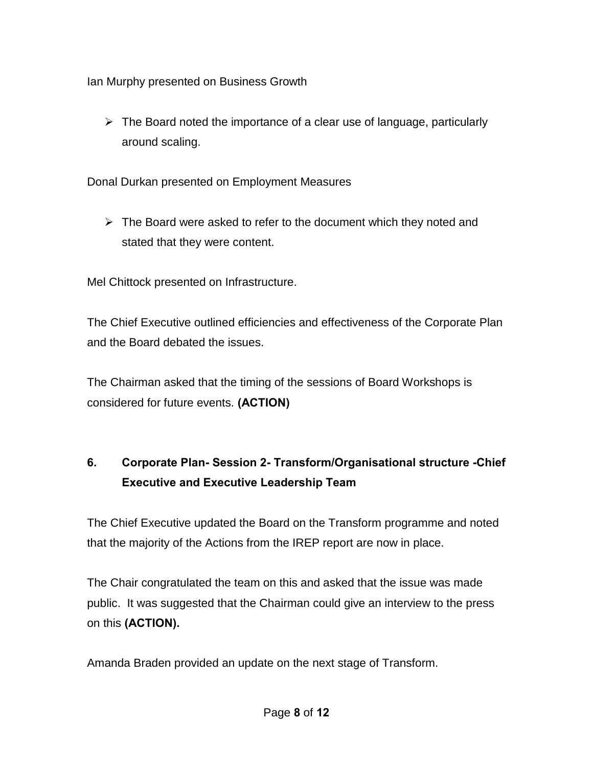Ian Murphy presented on Business Growth

 $\triangleright$  The Board noted the importance of a clear use of language, particularly around scaling.

Donal Durkan presented on Employment Measures

 $\triangleright$  The Board were asked to refer to the document which they noted and stated that they were content.

Mel Chittock presented on Infrastructure.

The Chief Executive outlined efficiencies and effectiveness of the Corporate Plan and the Board debated the issues.

The Chairman asked that the timing of the sessions of Board Workshops is considered for future events. **(ACTION)**

# **6. Corporate Plan- Session 2- Transform/Organisational structure -Chief Executive and Executive Leadership Team**

The Chief Executive updated the Board on the Transform programme and noted that the majority of the Actions from the IREP report are now in place.

The Chair congratulated the team on this and asked that the issue was made public. It was suggested that the Chairman could give an interview to the press on this **(ACTION).** 

Amanda Braden provided an update on the next stage of Transform.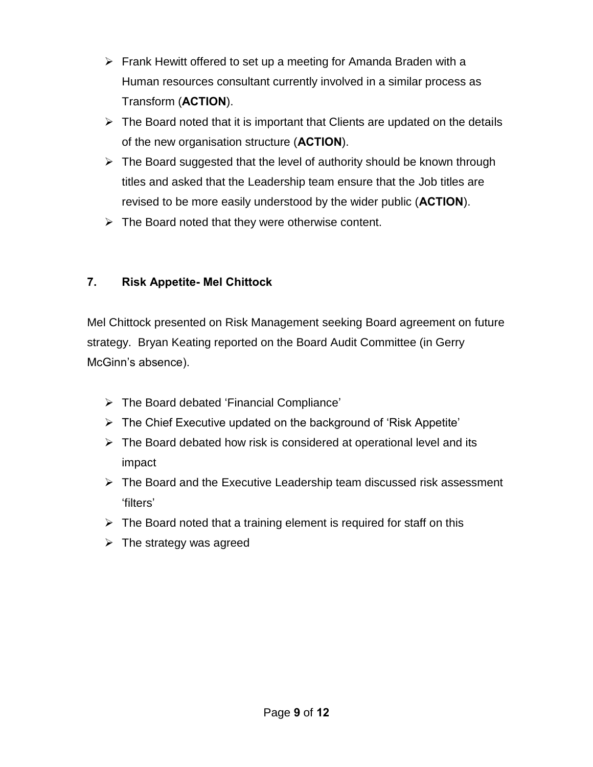- $\triangleright$  Frank Hewitt offered to set up a meeting for Amanda Braden with a Human resources consultant currently involved in a similar process as Transform (**ACTION**).
- $\triangleright$  The Board noted that it is important that Clients are updated on the details of the new organisation structure (**ACTION**).
- $\triangleright$  The Board suggested that the level of authority should be known through titles and asked that the Leadership team ensure that the Job titles are revised to be more easily understood by the wider public (**ACTION**).
- $\triangleright$  The Board noted that they were otherwise content.

# **7. Risk Appetite- Mel Chittock**

Mel Chittock presented on Risk Management seeking Board agreement on future strategy. Bryan Keating reported on the Board Audit Committee (in Gerry McGinn's absence).

- The Board debated 'Financial Compliance'
- $\triangleright$  The Chief Executive updated on the background of 'Risk Appetite'
- $\triangleright$  The Board debated how risk is considered at operational level and its impact
- $\triangleright$  The Board and the Executive Leadership team discussed risk assessment 'filters'
- $\triangleright$  The Board noted that a training element is required for staff on this
- $\triangleright$  The strategy was agreed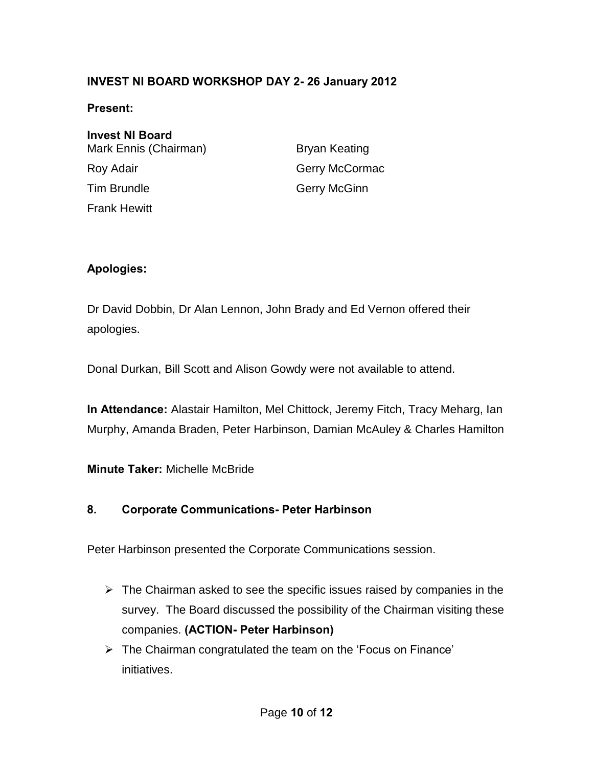### **INVEST NI BOARD WORKSHOP DAY 2- 26 January 2012**

#### **Present:**

**Invest NI Board**  Mark Ennis (Chairman) Bryan Keating Roy Adair **Gerry McCormac** Tim Brundle Gerry McGinn Frank Hewitt

#### **Apologies:**

Dr David Dobbin, Dr Alan Lennon, John Brady and Ed Vernon offered their apologies.

Donal Durkan, Bill Scott and Alison Gowdy were not available to attend.

**In Attendance:** Alastair Hamilton, Mel Chittock, Jeremy Fitch, Tracy Meharg, Ian Murphy, Amanda Braden, Peter Harbinson, Damian McAuley & Charles Hamilton

**Minute Taker:** Michelle McBride

#### **8. Corporate Communications- Peter Harbinson**

Peter Harbinson presented the Corporate Communications session.

- $\triangleright$  The Chairman asked to see the specific issues raised by companies in the survey. The Board discussed the possibility of the Chairman visiting these companies. **(ACTION- Peter Harbinson)**
- $\triangleright$  The Chairman congratulated the team on the 'Focus on Finance' initiatives.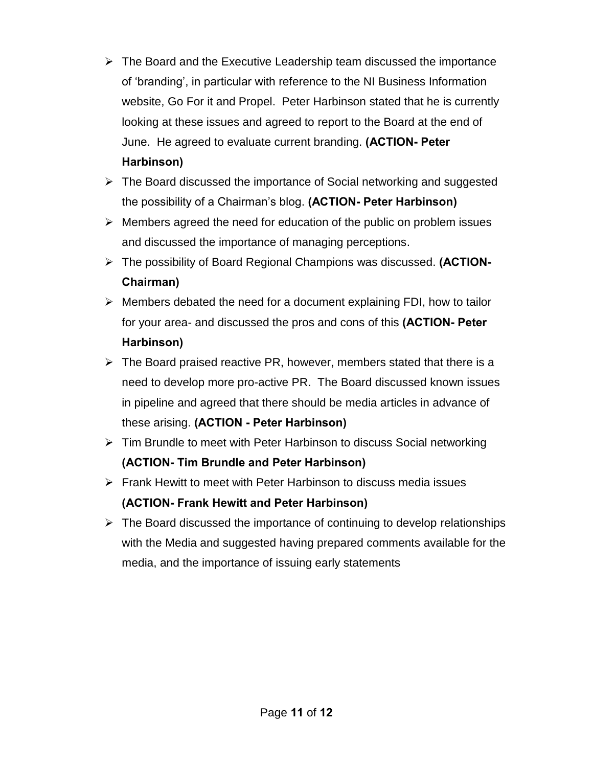- $\triangleright$  The Board and the Executive Leadership team discussed the importance of 'branding', in particular with reference to the NI Business Information website, Go For it and Propel. Peter Harbinson stated that he is currently looking at these issues and agreed to report to the Board at the end of June. He agreed to evaluate current branding. **(ACTION- Peter Harbinson)**
- $\triangleright$  The Board discussed the importance of Social networking and suggested the possibility of a Chairman's blog. **(ACTION- Peter Harbinson)**
- $\triangleright$  Members agreed the need for education of the public on problem issues and discussed the importance of managing perceptions.
- The possibility of Board Regional Champions was discussed. **(ACTION-Chairman)**
- $\triangleright$  Members debated the need for a document explaining FDI, how to tailor for your area- and discussed the pros and cons of this **(ACTION- Peter Harbinson)**
- $\triangleright$  The Board praised reactive PR, however, members stated that there is a need to develop more pro-active PR. The Board discussed known issues in pipeline and agreed that there should be media articles in advance of these arising. **(ACTION - Peter Harbinson)**
- $\triangleright$  Tim Brundle to meet with Peter Harbinson to discuss Social networking **(ACTION- Tim Brundle and Peter Harbinson)**
- $\triangleright$  Frank Hewitt to meet with Peter Harbinson to discuss media issues **(ACTION- Frank Hewitt and Peter Harbinson)**
- $\triangleright$  The Board discussed the importance of continuing to develop relationships with the Media and suggested having prepared comments available for the media, and the importance of issuing early statements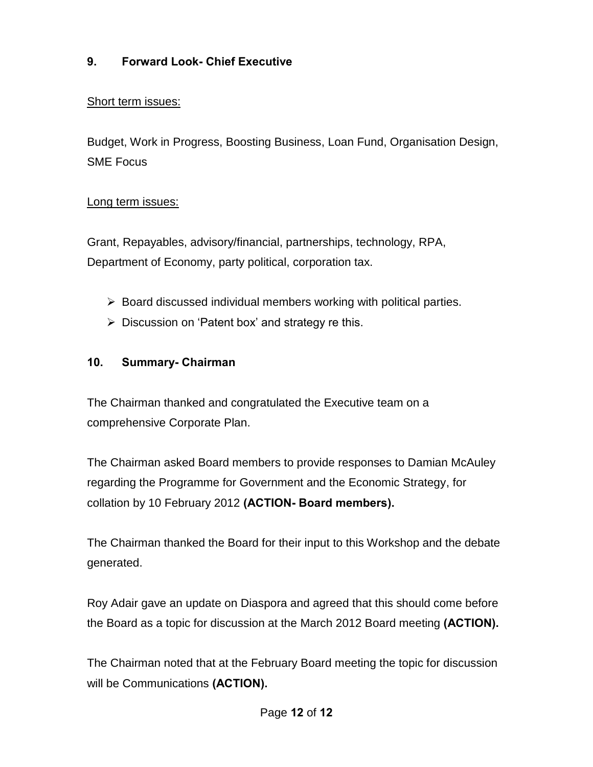# **9. Forward Look- Chief Executive**

#### Short term issues:

Budget, Work in Progress, Boosting Business, Loan Fund, Organisation Design, SME Focus

#### Long term issues:

Grant, Repayables, advisory/financial, partnerships, technology, RPA, Department of Economy, party political, corporation tax.

- $\triangleright$  Board discussed individual members working with political parties.
- $\triangleright$  Discussion on 'Patent box' and strategy re this.

#### **10. Summary- Chairman**

The Chairman thanked and congratulated the Executive team on a comprehensive Corporate Plan.

The Chairman asked Board members to provide responses to Damian McAuley regarding the Programme for Government and the Economic Strategy, for collation by 10 February 2012 **(ACTION- Board members).**

The Chairman thanked the Board for their input to this Workshop and the debate generated.

Roy Adair gave an update on Diaspora and agreed that this should come before the Board as a topic for discussion at the March 2012 Board meeting **(ACTION).**

The Chairman noted that at the February Board meeting the topic for discussion will be Communications **(ACTION).**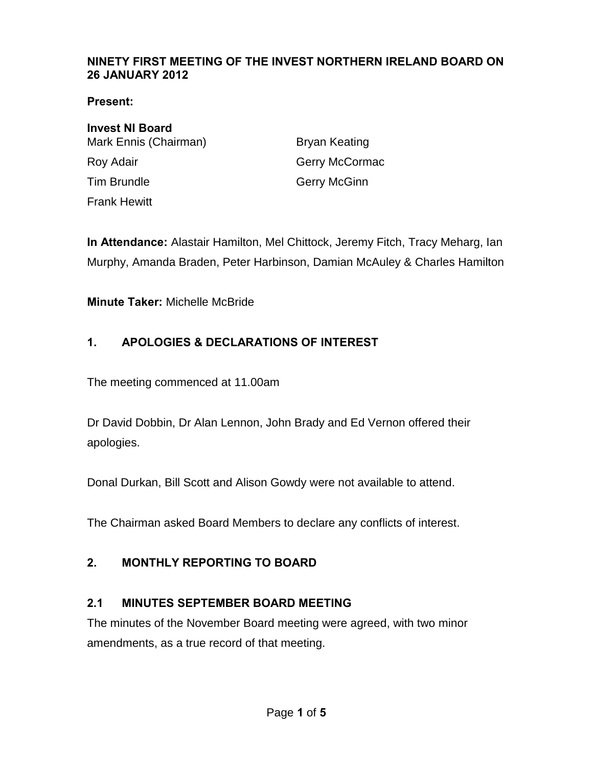#### <span id="page-13-0"></span>**NINETY FIRST MEETING OF THE INVEST NORTHERN IRELAND BOARD ON 26 JANUARY 2012**

**Present:** 

**Invest NI Board**  Mark Ennis (Chairman) Bryan Keating Roy Adair **Gerry McCormac** Tim Brundle Gerry McGinn Frank Hewitt

**In Attendance:** Alastair Hamilton, Mel Chittock, Jeremy Fitch, Tracy Meharg, Ian Murphy, Amanda Braden, Peter Harbinson, Damian McAuley & Charles Hamilton

**Minute Taker:** Michelle McBride

## **1. APOLOGIES & DECLARATIONS OF INTEREST**

The meeting commenced at 11.00am

Dr David Dobbin, Dr Alan Lennon, John Brady and Ed Vernon offered their apologies.

Donal Durkan, Bill Scott and Alison Gowdy were not available to attend.

The Chairman asked Board Members to declare any conflicts of interest.

### **2. MONTHLY REPORTING TO BOARD**

### **2.1 MINUTES SEPTEMBER BOARD MEETING**

The minutes of the November Board meeting were agreed, with two minor amendments, as a true record of that meeting.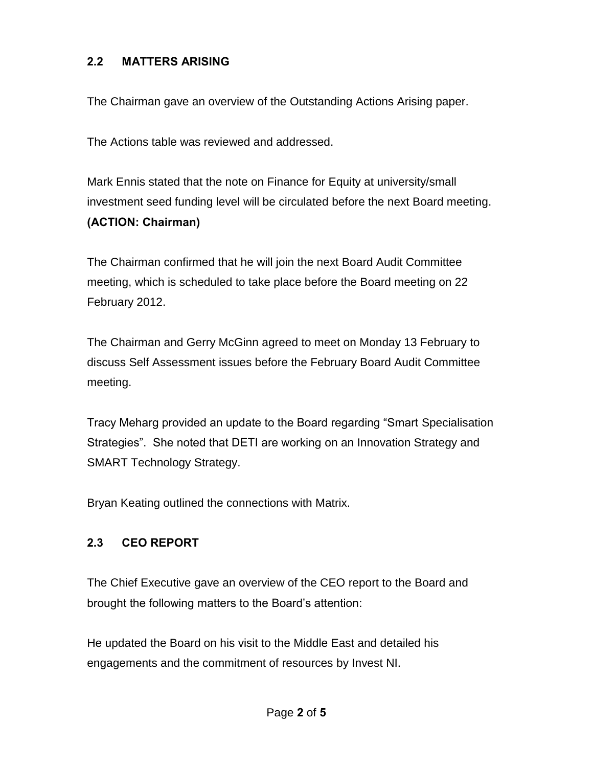#### **2.2 MATTERS ARISING**

The Chairman gave an overview of the Outstanding Actions Arising paper.

The Actions table was reviewed and addressed.

Mark Ennis stated that the note on Finance for Equity at university/small investment seed funding level will be circulated before the next Board meeting. **(ACTION: Chairman)**

The Chairman confirmed that he will join the next Board Audit Committee meeting, which is scheduled to take place before the Board meeting on 22 February 2012.

The Chairman and Gerry McGinn agreed to meet on Monday 13 February to discuss Self Assessment issues before the February Board Audit Committee meeting.

Tracy Meharg provided an update to the Board regarding "Smart Specialisation Strategies". She noted that DETI are working on an Innovation Strategy and SMART Technology Strategy.

Bryan Keating outlined the connections with Matrix.

### **2.3 CEO REPORT**

The Chief Executive gave an overview of the CEO report to the Board and brought the following matters to the Board's attention:

He updated the Board on his visit to the Middle East and detailed his engagements and the commitment of resources by Invest NI.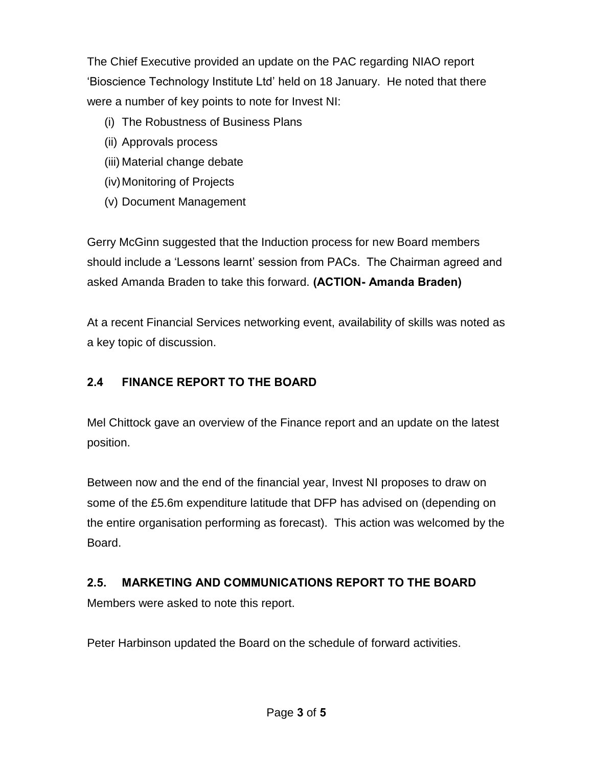The Chief Executive provided an update on the PAC regarding NIAO report 'Bioscience Technology Institute Ltd' held on 18 January. He noted that there were a number of key points to note for Invest NI:

- (i) The Robustness of Business Plans
- (ii) Approvals process
- (iii) Material change debate
- (iv) Monitoring of Projects
- (v) Document Management

Gerry McGinn suggested that the Induction process for new Board members should include a 'Lessons learnt' session from PACs. The Chairman agreed and asked Amanda Braden to take this forward. **(ACTION- Amanda Braden)**

At a recent Financial Services networking event, availability of skills was noted as a key topic of discussion.

# **2.4 FINANCE REPORT TO THE BOARD**

Mel Chittock gave an overview of the Finance report and an update on the latest position.

Between now and the end of the financial year, Invest NI proposes to draw on some of the £5.6m expenditure latitude that DFP has advised on (depending on the entire organisation performing as forecast). This action was welcomed by the Board.

# **2.5. MARKETING AND COMMUNICATIONS REPORT TO THE BOARD**

Members were asked to note this report.

Peter Harbinson updated the Board on the schedule of forward activities.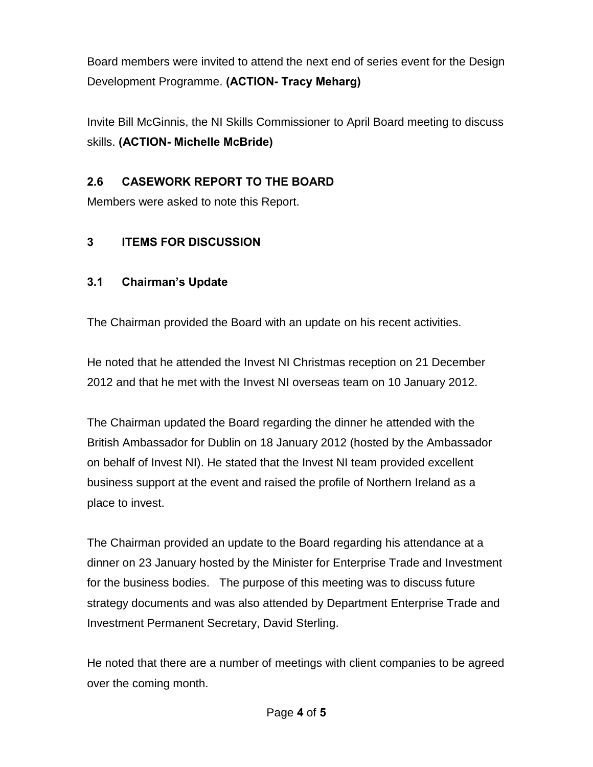Board members were invited to attend the next end of series event for the Design Development Programme. **(ACTION- Tracy Meharg)**

Invite Bill McGinnis, the NI Skills Commissioner to April Board meeting to discuss skills. **(ACTION- Michelle McBride)**

# **2.6 CASEWORK REPORT TO THE BOARD**

Members were asked to note this Report.

# **3 ITEMS FOR DISCUSSION**

## **3.1 Chairman's Update**

The Chairman provided the Board with an update on his recent activities.

He noted that he attended the Invest NI Christmas reception on 21 December 2012 and that he met with the Invest NI overseas team on 10 January 2012.

The Chairman updated the Board regarding the dinner he attended with the British Ambassador for Dublin on 18 January 2012 (hosted by the Ambassador on behalf of Invest NI). He stated that the Invest NI team provided excellent business support at the event and raised the profile of Northern Ireland as a place to invest.

The Chairman provided an update to the Board regarding his attendance at a dinner on 23 January hosted by the Minister for Enterprise Trade and Investment for the business bodies. The purpose of this meeting was to discuss future strategy documents and was also attended by Department Enterprise Trade and Investment Permanent Secretary, David Sterling.

He noted that there are a number of meetings with client companies to be agreed over the coming month.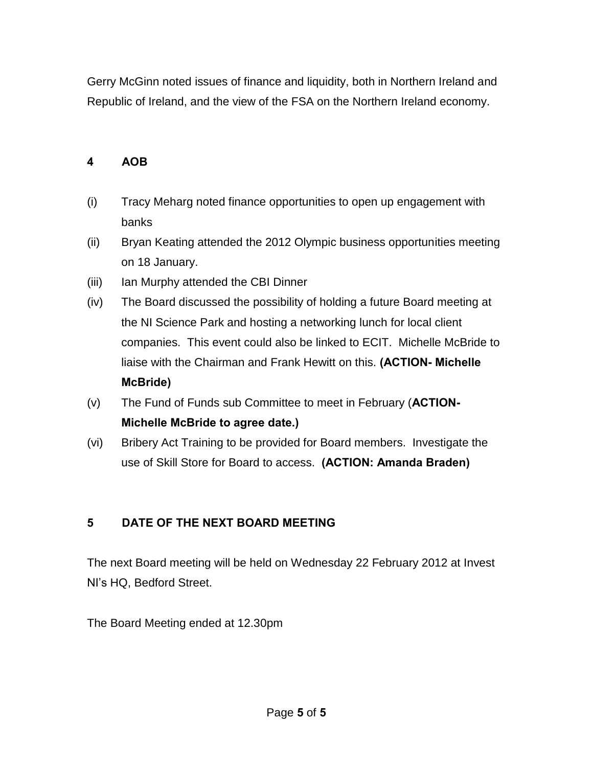Gerry McGinn noted issues of finance and liquidity, both in Northern Ireland and Republic of Ireland, and the view of the FSA on the Northern Ireland economy.

### **4 AOB**

- (i) Tracy Meharg noted finance opportunities to open up engagement with banks
- (ii) Bryan Keating attended the 2012 Olympic business opportunities meeting on 18 January.
- (iii) Ian Murphy attended the CBI Dinner
- (iv) The Board discussed the possibility of holding a future Board meeting at the NI Science Park and hosting a networking lunch for local client companies. This event could also be linked to ECIT. Michelle McBride to liaise with the Chairman and Frank Hewitt on this. **(ACTION- Michelle McBride)**
- (v) The Fund of Funds sub Committee to meet in February (**ACTION-Michelle McBride to agree date.)**
- (vi) Bribery Act Training to be provided for Board members. Investigate the use of Skill Store for Board to access. **(ACTION: Amanda Braden)**

#### **5 DATE OF THE NEXT BOARD MEETING**

The next Board meeting will be held on Wednesday 22 February 2012 at Invest NI's HQ, Bedford Street.

The Board Meeting ended at 12.30pm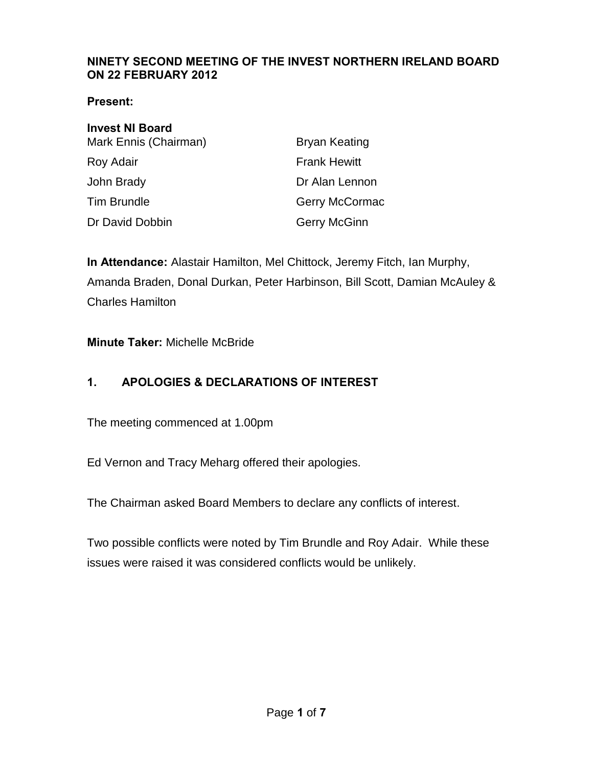#### <span id="page-18-0"></span>**NINETY SECOND MEETING OF THE INVEST NORTHERN IRELAND BOARD ON 22 FEBRUARY 2012**

#### **Present:**

| <b>Invest NI Board</b> |                      |
|------------------------|----------------------|
| Mark Ennis (Chairman)  | <b>Bryan Keating</b> |
| Roy Adair              | <b>Frank Hewitt</b>  |
| John Brady             | Dr Alan Lennon       |
| <b>Tim Brundle</b>     | Gerry McCormac       |
| Dr David Dobbin        | <b>Gerry McGinn</b>  |

**In Attendance:** Alastair Hamilton, Mel Chittock, Jeremy Fitch, Ian Murphy, Amanda Braden, Donal Durkan, Peter Harbinson, Bill Scott, Damian McAuley & Charles Hamilton

#### **Minute Taker:** Michelle McBride

### **1. APOLOGIES & DECLARATIONS OF INTEREST**

The meeting commenced at 1.00pm

Ed Vernon and Tracy Meharg offered their apologies.

The Chairman asked Board Members to declare any conflicts of interest.

Two possible conflicts were noted by Tim Brundle and Roy Adair. While these issues were raised it was considered conflicts would be unlikely.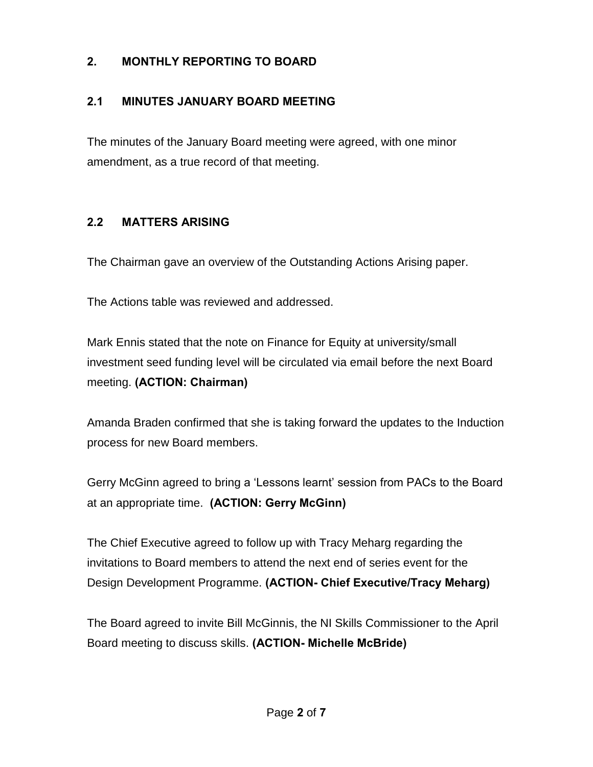### **2. MONTHLY REPORTING TO BOARD**

### **2.1 MINUTES JANUARY BOARD MEETING**

The minutes of the January Board meeting were agreed, with one minor amendment, as a true record of that meeting.

### **2.2 MATTERS ARISING**

The Chairman gave an overview of the Outstanding Actions Arising paper.

The Actions table was reviewed and addressed.

Mark Ennis stated that the note on Finance for Equity at university/small investment seed funding level will be circulated via email before the next Board meeting. **(ACTION: Chairman)**

Amanda Braden confirmed that she is taking forward the updates to the Induction process for new Board members.

Gerry McGinn agreed to bring a 'Lessons learnt' session from PACs to the Board at an appropriate time. **(ACTION: Gerry McGinn)**

The Chief Executive agreed to follow up with Tracy Meharg regarding the invitations to Board members to attend the next end of series event for the Design Development Programme. **(ACTION- Chief Executive/Tracy Meharg)**

The Board agreed to invite Bill McGinnis, the NI Skills Commissioner to the April Board meeting to discuss skills. **(ACTION- Michelle McBride)**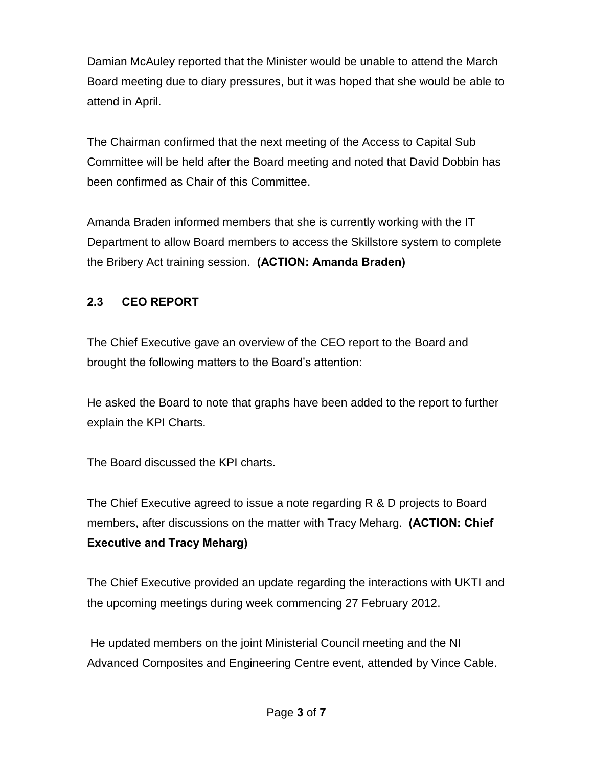Damian McAuley reported that the Minister would be unable to attend the March Board meeting due to diary pressures, but it was hoped that she would be able to attend in April.

The Chairman confirmed that the next meeting of the Access to Capital Sub Committee will be held after the Board meeting and noted that David Dobbin has been confirmed as Chair of this Committee.

Amanda Braden informed members that she is currently working with the IT Department to allow Board members to access the Skillstore system to complete the Bribery Act training session. **(ACTION: Amanda Braden)** 

## **2.3 CEO REPORT**

The Chief Executive gave an overview of the CEO report to the Board and brought the following matters to the Board's attention:

He asked the Board to note that graphs have been added to the report to further explain the KPI Charts.

The Board discussed the KPI charts.

The Chief Executive agreed to issue a note regarding R & D projects to Board members, after discussions on the matter with Tracy Meharg. **(ACTION: Chief Executive and Tracy Meharg)** 

The Chief Executive provided an update regarding the interactions with UKTI and the upcoming meetings during week commencing 27 February 2012.

 He updated members on the joint Ministerial Council meeting and the NI Advanced Composites and Engineering Centre event, attended by Vince Cable.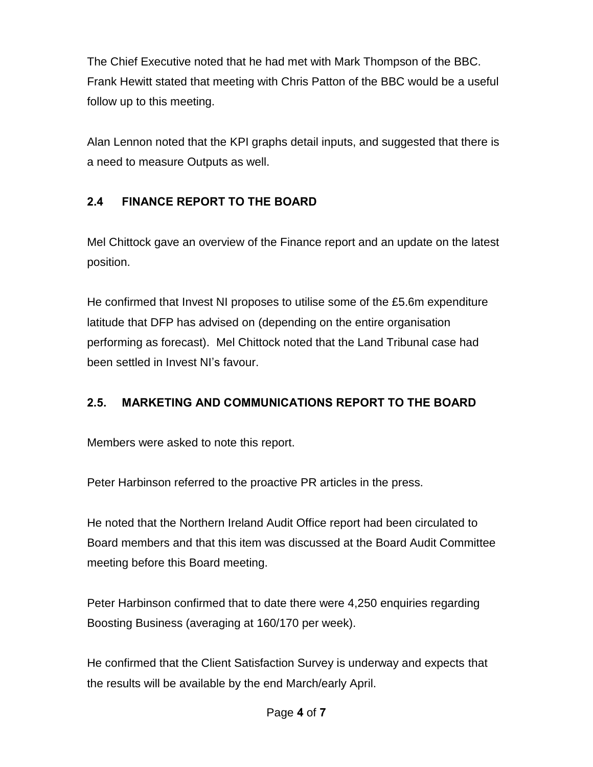The Chief Executive noted that he had met with Mark Thompson of the BBC. Frank Hewitt stated that meeting with Chris Patton of the BBC would be a useful follow up to this meeting.

Alan Lennon noted that the KPI graphs detail inputs, and suggested that there is a need to measure Outputs as well.

# **2.4 FINANCE REPORT TO THE BOARD**

Mel Chittock gave an overview of the Finance report and an update on the latest position.

He confirmed that Invest NI proposes to utilise some of the £5.6m expenditure latitude that DFP has advised on (depending on the entire organisation performing as forecast). Mel Chittock noted that the Land Tribunal case had been settled in Invest NI's favour.

# **2.5. MARKETING AND COMMUNICATIONS REPORT TO THE BOARD**

Members were asked to note this report.

Peter Harbinson referred to the proactive PR articles in the press.

He noted that the Northern Ireland Audit Office report had been circulated to Board members and that this item was discussed at the Board Audit Committee meeting before this Board meeting.

Peter Harbinson confirmed that to date there were 4,250 enquiries regarding Boosting Business (averaging at 160/170 per week).

He confirmed that the Client Satisfaction Survey is underway and expects that the results will be available by the end March/early April.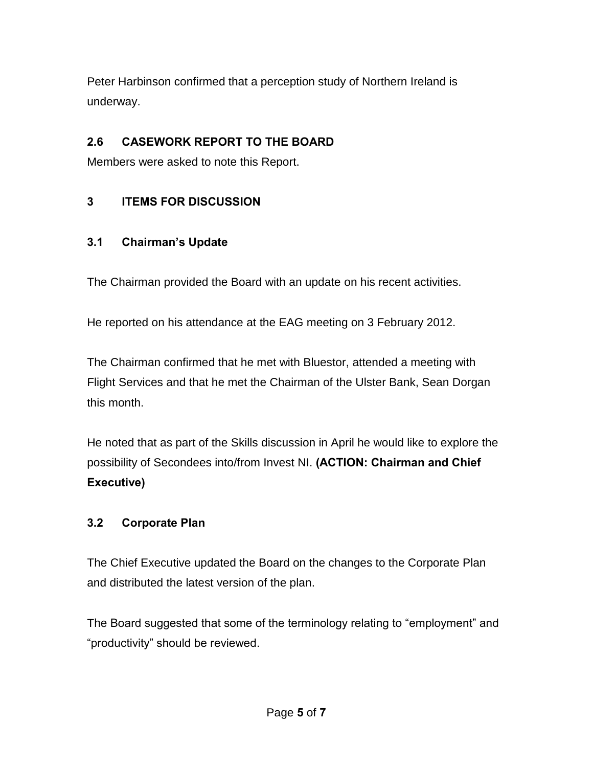Peter Harbinson confirmed that a perception study of Northern Ireland is underway.

# **2.6 CASEWORK REPORT TO THE BOARD**

Members were asked to note this Report.

## **3 ITEMS FOR DISCUSSION**

### **3.1 Chairman's Update**

The Chairman provided the Board with an update on his recent activities.

He reported on his attendance at the EAG meeting on 3 February 2012.

The Chairman confirmed that he met with Bluestor, attended a meeting with Flight Services and that he met the Chairman of the Ulster Bank, Sean Dorgan this month.

He noted that as part of the Skills discussion in April he would like to explore the possibility of Secondees into/from Invest NI. **(ACTION: Chairman and Chief Executive)** 

### **3.2 Corporate Plan**

The Chief Executive updated the Board on the changes to the Corporate Plan and distributed the latest version of the plan.

The Board suggested that some of the terminology relating to "employment" and "productivity" should be reviewed.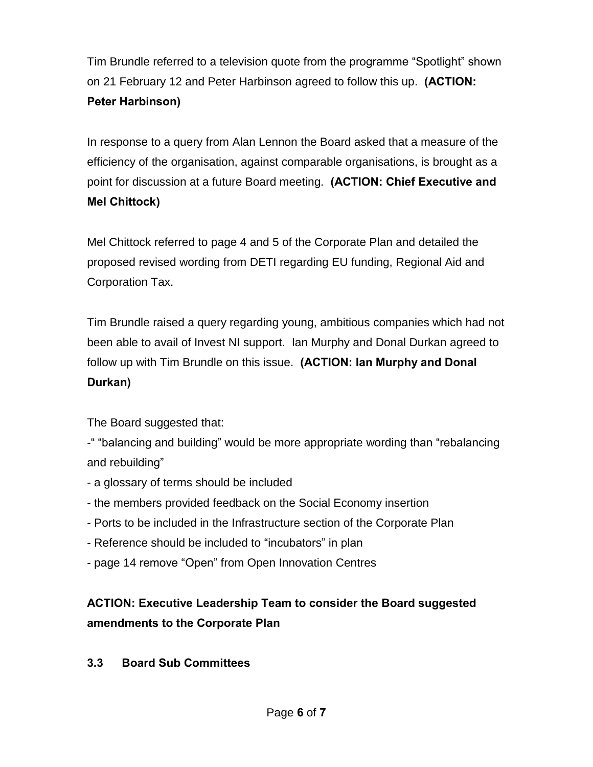Tim Brundle referred to a television quote from the programme "Spotlight" shown on 21 February 12 and Peter Harbinson agreed to follow this up. **(ACTION: Peter Harbinson)**

In response to a query from Alan Lennon the Board asked that a measure of the efficiency of the organisation, against comparable organisations, is brought as a point for discussion at a future Board meeting. **(ACTION: Chief Executive and Mel Chittock)**

Mel Chittock referred to page 4 and 5 of the Corporate Plan and detailed the proposed revised wording from DETI regarding EU funding, Regional Aid and Corporation Tax.

Tim Brundle raised a query regarding young, ambitious companies which had not been able to avail of Invest NI support. Ian Murphy and Donal Durkan agreed to follow up with Tim Brundle on this issue. **(ACTION: Ian Murphy and Donal Durkan)**

The Board suggested that:

-" "balancing and building" would be more appropriate wording than "rebalancing and rebuilding"

- a glossary of terms should be included
- the members provided feedback on the Social Economy insertion
- Ports to be included in the Infrastructure section of the Corporate Plan
- Reference should be included to "incubators" in plan
- page 14 remove "Open" from Open Innovation Centres

# **ACTION: Executive Leadership Team to consider the Board suggested amendments to the Corporate Plan**

**3.3 Board Sub Committees**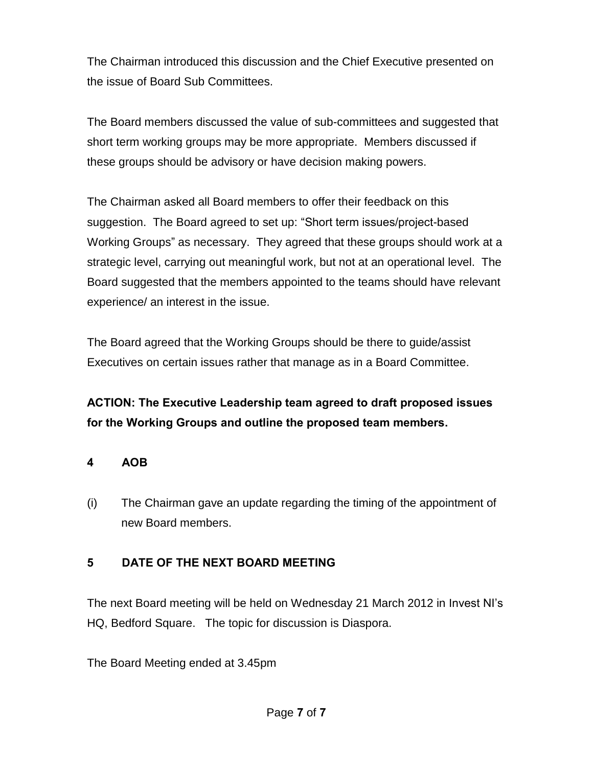The Chairman introduced this discussion and the Chief Executive presented on the issue of Board Sub Committees.

The Board members discussed the value of sub-committees and suggested that short term working groups may be more appropriate. Members discussed if these groups should be advisory or have decision making powers.

The Chairman asked all Board members to offer their feedback on this suggestion. The Board agreed to set up: "Short term issues/project-based Working Groups" as necessary. They agreed that these groups should work at a strategic level, carrying out meaningful work, but not at an operational level. The Board suggested that the members appointed to the teams should have relevant experience/ an interest in the issue.

The Board agreed that the Working Groups should be there to guide/assist Executives on certain issues rather that manage as in a Board Committee.

**ACTION: The Executive Leadership team agreed to draft proposed issues for the Working Groups and outline the proposed team members.** 

#### **4 AOB**

(i) The Chairman gave an update regarding the timing of the appointment of new Board members.

### **5 DATE OF THE NEXT BOARD MEETING**

The next Board meeting will be held on Wednesday 21 March 2012 in Invest NI's HQ, Bedford Square. The topic for discussion is Diaspora.

The Board Meeting ended at 3.45pm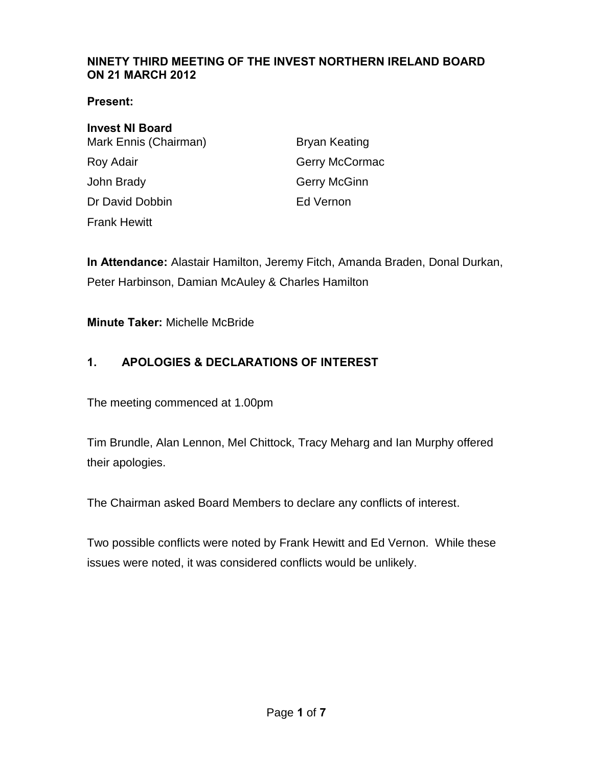#### <span id="page-25-0"></span>**NINETY THIRD MEETING OF THE INVEST NORTHERN IRELAND BOARD ON 21 MARCH 2012**

#### **Present:**

| <b>Invest NI Board</b> |                      |
|------------------------|----------------------|
| Mark Ennis (Chairman)  | <b>Bryan Keating</b> |
| Roy Adair              | Gerry McCormac       |
| John Brady             | Gerry McGinn         |
| Dr David Dobbin        | Ed Vernon            |
| <b>Frank Hewitt</b>    |                      |

**In Attendance:** Alastair Hamilton, Jeremy Fitch, Amanda Braden, Donal Durkan, Peter Harbinson, Damian McAuley & Charles Hamilton

**Minute Taker:** Michelle McBride

### **1. APOLOGIES & DECLARATIONS OF INTEREST**

The meeting commenced at 1.00pm

Tim Brundle, Alan Lennon, Mel Chittock, Tracy Meharg and Ian Murphy offered their apologies.

The Chairman asked Board Members to declare any conflicts of interest.

Two possible conflicts were noted by Frank Hewitt and Ed Vernon. While these issues were noted, it was considered conflicts would be unlikely.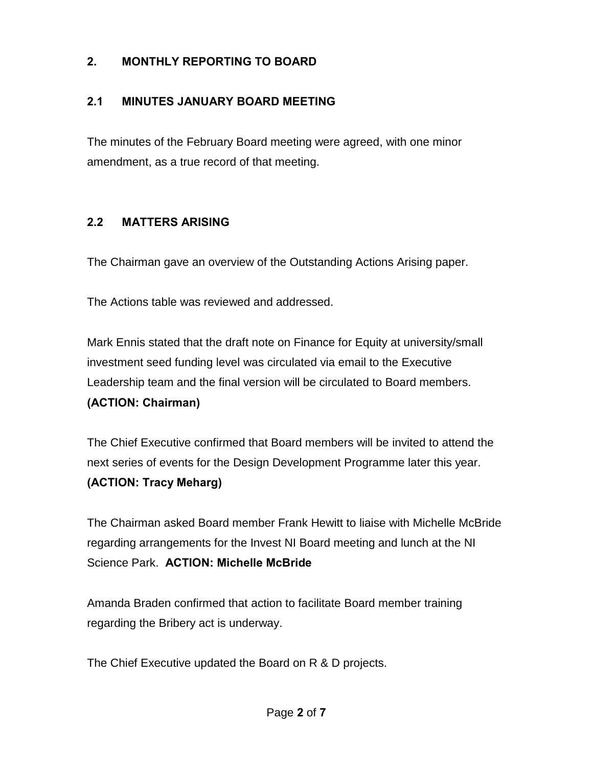### **2. MONTHLY REPORTING TO BOARD**

### **2.1 MINUTES JANUARY BOARD MEETING**

The minutes of the February Board meeting were agreed, with one minor amendment, as a true record of that meeting.

### **2.2 MATTERS ARISING**

The Chairman gave an overview of the Outstanding Actions Arising paper.

The Actions table was reviewed and addressed.

Mark Ennis stated that the draft note on Finance for Equity at university/small investment seed funding level was circulated via email to the Executive Leadership team and the final version will be circulated to Board members. **(ACTION: Chairman)**

The Chief Executive confirmed that Board members will be invited to attend the next series of events for the Design Development Programme later this year. **(ACTION: Tracy Meharg)** 

The Chairman asked Board member Frank Hewitt to liaise with Michelle McBride regarding arrangements for the Invest NI Board meeting and lunch at the NI Science Park. **ACTION: Michelle McBride**

Amanda Braden confirmed that action to facilitate Board member training regarding the Bribery act is underway.

The Chief Executive updated the Board on R & D projects.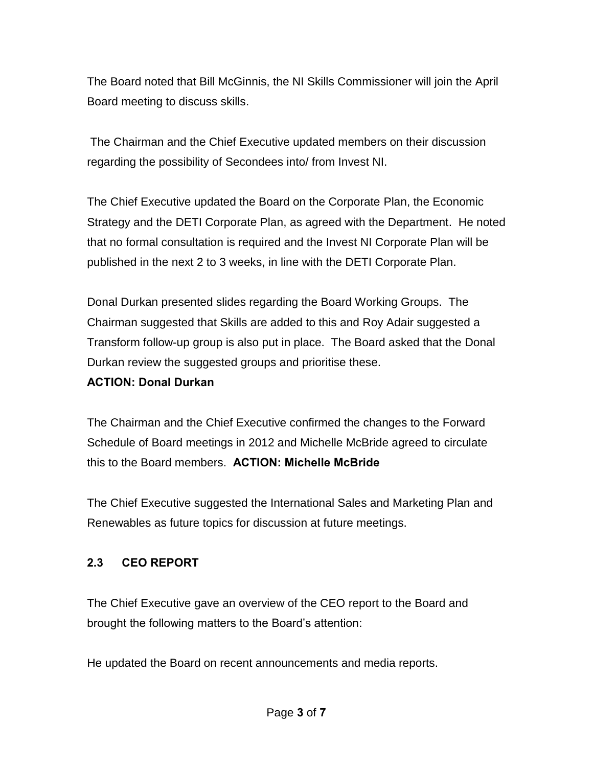The Board noted that Bill McGinnis, the NI Skills Commissioner will join the April Board meeting to discuss skills.

 The Chairman and the Chief Executive updated members on their discussion regarding the possibility of Secondees into/ from Invest NI.

The Chief Executive updated the Board on the Corporate Plan, the Economic Strategy and the DETI Corporate Plan, as agreed with the Department. He noted that no formal consultation is required and the Invest NI Corporate Plan will be published in the next 2 to 3 weeks, in line with the DETI Corporate Plan.

Donal Durkan presented slides regarding the Board Working Groups. The Chairman suggested that Skills are added to this and Roy Adair suggested a Transform follow-up group is also put in place. The Board asked that the Donal Durkan review the suggested groups and prioritise these.

#### **ACTION: Donal Durkan**

The Chairman and the Chief Executive confirmed the changes to the Forward Schedule of Board meetings in 2012 and Michelle McBride agreed to circulate this to the Board members. **ACTION: Michelle McBride**

The Chief Executive suggested the International Sales and Marketing Plan and Renewables as future topics for discussion at future meetings.

### **2.3 CEO REPORT**

The Chief Executive gave an overview of the CEO report to the Board and brought the following matters to the Board's attention:

He updated the Board on recent announcements and media reports.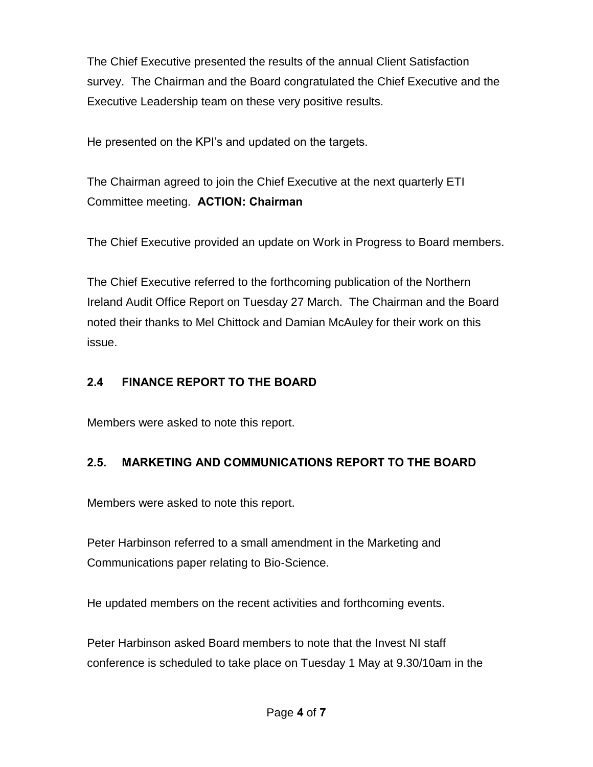The Chief Executive presented the results of the annual Client Satisfaction survey. The Chairman and the Board congratulated the Chief Executive and the Executive Leadership team on these very positive results.

He presented on the KPI's and updated on the targets.

The Chairman agreed to join the Chief Executive at the next quarterly ETI Committee meeting. **ACTION: Chairman** 

The Chief Executive provided an update on Work in Progress to Board members.

The Chief Executive referred to the forthcoming publication of the Northern Ireland Audit Office Report on Tuesday 27 March. The Chairman and the Board noted their thanks to Mel Chittock and Damian McAuley for their work on this issue.

# **2.4 FINANCE REPORT TO THE BOARD**

Members were asked to note this report.

# **2.5. MARKETING AND COMMUNICATIONS REPORT TO THE BOARD**

Members were asked to note this report.

Peter Harbinson referred to a small amendment in the Marketing and Communications paper relating to Bio-Science.

He updated members on the recent activities and forthcoming events.

Peter Harbinson asked Board members to note that the Invest NI staff conference is scheduled to take place on Tuesday 1 May at 9.30/10am in the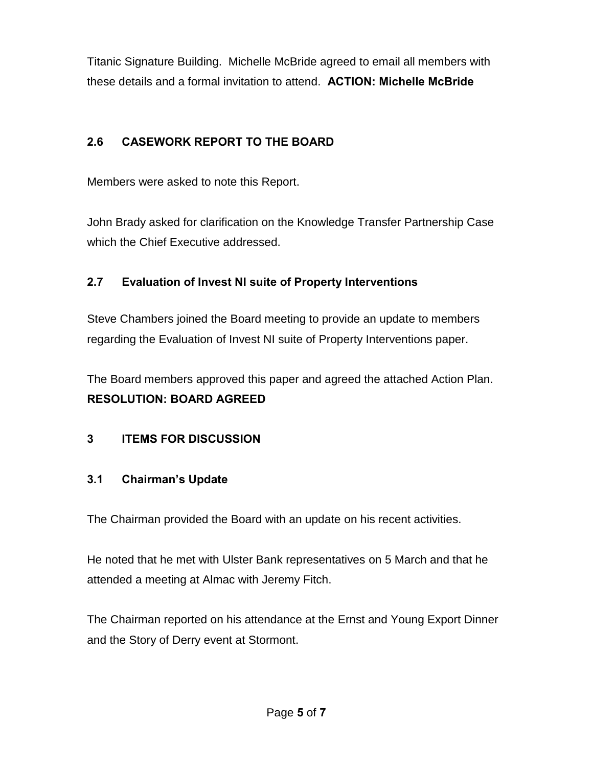Titanic Signature Building. Michelle McBride agreed to email all members with these details and a formal invitation to attend. **ACTION: Michelle McBride**

# **2.6 CASEWORK REPORT TO THE BOARD**

Members were asked to note this Report.

John Brady asked for clarification on the Knowledge Transfer Partnership Case which the Chief Executive addressed.

## **2.7 Evaluation of Invest NI suite of Property Interventions**

Steve Chambers joined the Board meeting to provide an update to members regarding the Evaluation of Invest NI suite of Property Interventions paper.

The Board members approved this paper and agreed the attached Action Plan. **RESOLUTION: BOARD AGREED** 

# **3 ITEMS FOR DISCUSSION**

### **3.1 Chairman's Update**

The Chairman provided the Board with an update on his recent activities.

He noted that he met with Ulster Bank representatives on 5 March and that he attended a meeting at Almac with Jeremy Fitch.

The Chairman reported on his attendance at the Ernst and Young Export Dinner and the Story of Derry event at Stormont.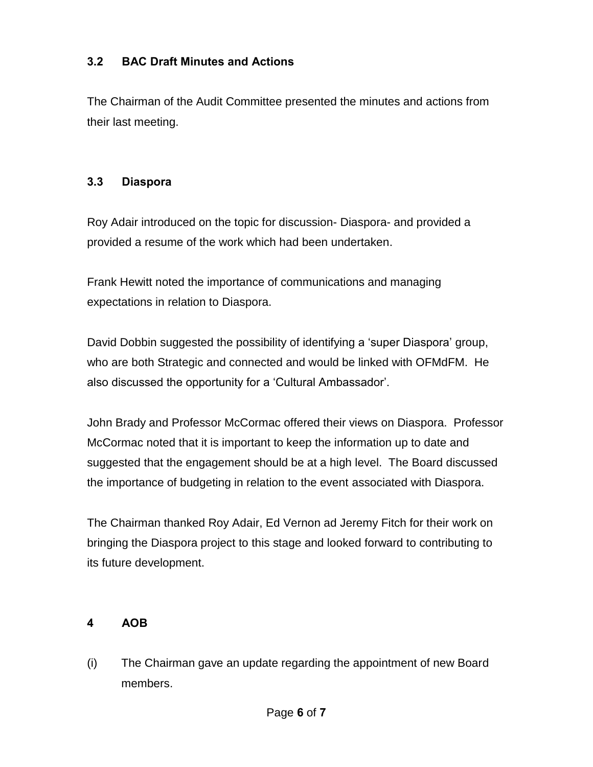### **3.2 BAC Draft Minutes and Actions**

The Chairman of the Audit Committee presented the minutes and actions from their last meeting.

#### **3.3 Diaspora**

Roy Adair introduced on the topic for discussion- Diaspora- and provided a provided a resume of the work which had been undertaken.

Frank Hewitt noted the importance of communications and managing expectations in relation to Diaspora.

David Dobbin suggested the possibility of identifying a 'super Diaspora' group, who are both Strategic and connected and would be linked with OFMdFM. He also discussed the opportunity for a 'Cultural Ambassador'.

John Brady and Professor McCormac offered their views on Diaspora. Professor McCormac noted that it is important to keep the information up to date and suggested that the engagement should be at a high level. The Board discussed the importance of budgeting in relation to the event associated with Diaspora.

The Chairman thanked Roy Adair, Ed Vernon ad Jeremy Fitch for their work on bringing the Diaspora project to this stage and looked forward to contributing to its future development.

### **4 AOB**

(i) The Chairman gave an update regarding the appointment of new Board members.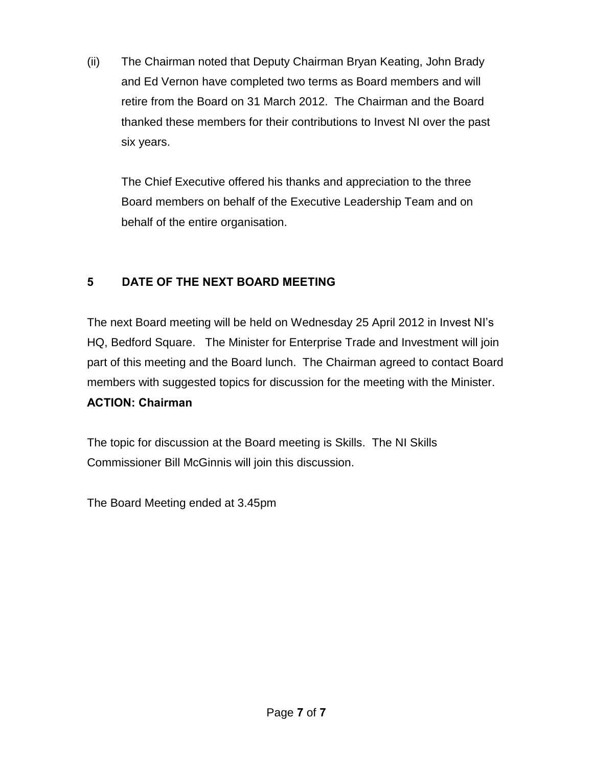(ii) The Chairman noted that Deputy Chairman Bryan Keating, John Brady and Ed Vernon have completed two terms as Board members and will retire from the Board on 31 March 2012. The Chairman and the Board thanked these members for their contributions to Invest NI over the past six years.

The Chief Executive offered his thanks and appreciation to the three Board members on behalf of the Executive Leadership Team and on behalf of the entire organisation.

# **5 DATE OF THE NEXT BOARD MEETING**

The next Board meeting will be held on Wednesday 25 April 2012 in Invest NI's HQ, Bedford Square. The Minister for Enterprise Trade and Investment will join part of this meeting and the Board lunch. The Chairman agreed to contact Board members with suggested topics for discussion for the meeting with the Minister.

### **ACTION: Chairman**

The topic for discussion at the Board meeting is Skills. The NI Skills Commissioner Bill McGinnis will join this discussion.

The Board Meeting ended at 3.45pm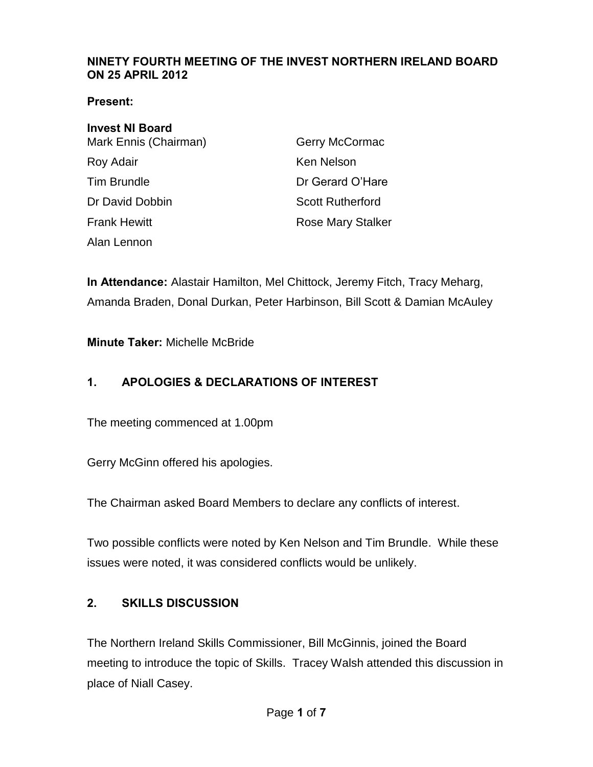#### <span id="page-32-0"></span>**NINETY FOURTH MEETING OF THE INVEST NORTHERN IRELAND BOARD ON 25 APRIL 2012**

#### **Present:**

| <b>Invest NI Board</b> |                          |
|------------------------|--------------------------|
| Mark Ennis (Chairman)  | Gerry McCormac           |
| Roy Adair              | Ken Nelson               |
| <b>Tim Brundle</b>     | Dr Gerard O'Hare         |
| Dr David Dobbin        | <b>Scott Rutherford</b>  |
| <b>Frank Hewitt</b>    | <b>Rose Mary Stalker</b> |
| Alan Lennon            |                          |

**In Attendance:** Alastair Hamilton, Mel Chittock, Jeremy Fitch, Tracy Meharg, Amanda Braden, Donal Durkan, Peter Harbinson, Bill Scott & Damian McAuley

**Minute Taker:** Michelle McBride

# **1. APOLOGIES & DECLARATIONS OF INTEREST**

The meeting commenced at 1.00pm

Gerry McGinn offered his apologies.

The Chairman asked Board Members to declare any conflicts of interest.

Two possible conflicts were noted by Ken Nelson and Tim Brundle. While these issues were noted, it was considered conflicts would be unlikely.

### **2. SKILLS DISCUSSION**

The Northern Ireland Skills Commissioner, Bill McGinnis, joined the Board meeting to introduce the topic of Skills. Tracey Walsh attended this discussion in place of Niall Casey.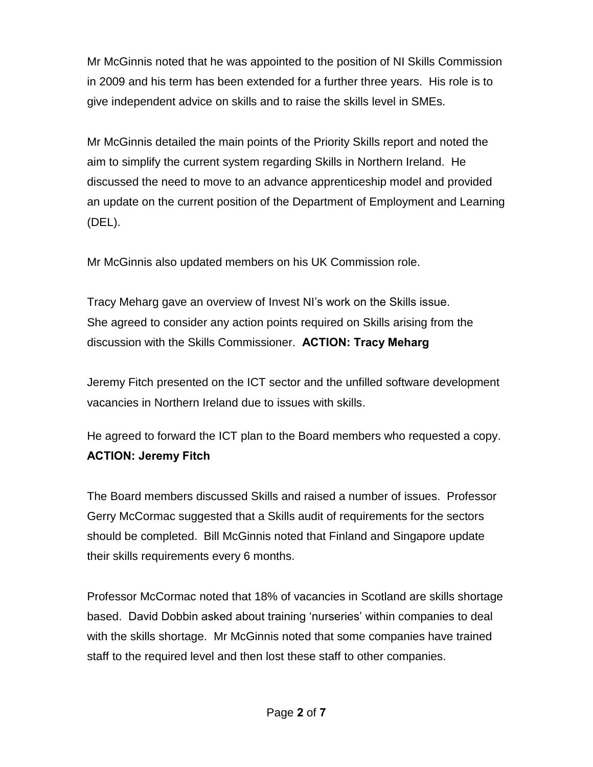Mr McGinnis noted that he was appointed to the position of NI Skills Commission in 2009 and his term has been extended for a further three years. His role is to give independent advice on skills and to raise the skills level in SMEs.

Mr McGinnis detailed the main points of the Priority Skills report and noted the aim to simplify the current system regarding Skills in Northern Ireland. He discussed the need to move to an advance apprenticeship model and provided an update on the current position of the Department of Employment and Learning (DEL).

Mr McGinnis also updated members on his UK Commission role.

Tracy Meharg gave an overview of Invest NI's work on the Skills issue. She agreed to consider any action points required on Skills arising from the discussion with the Skills Commissioner. **ACTION: Tracy Meharg**

Jeremy Fitch presented on the ICT sector and the unfilled software development vacancies in Northern Ireland due to issues with skills.

He agreed to forward the ICT plan to the Board members who requested a copy. **ACTION: Jeremy Fitch** 

The Board members discussed Skills and raised a number of issues. Professor Gerry McCormac suggested that a Skills audit of requirements for the sectors should be completed. Bill McGinnis noted that Finland and Singapore update their skills requirements every 6 months.

Professor McCormac noted that 18% of vacancies in Scotland are skills shortage based. David Dobbin asked about training 'nurseries' within companies to deal with the skills shortage. Mr McGinnis noted that some companies have trained staff to the required level and then lost these staff to other companies.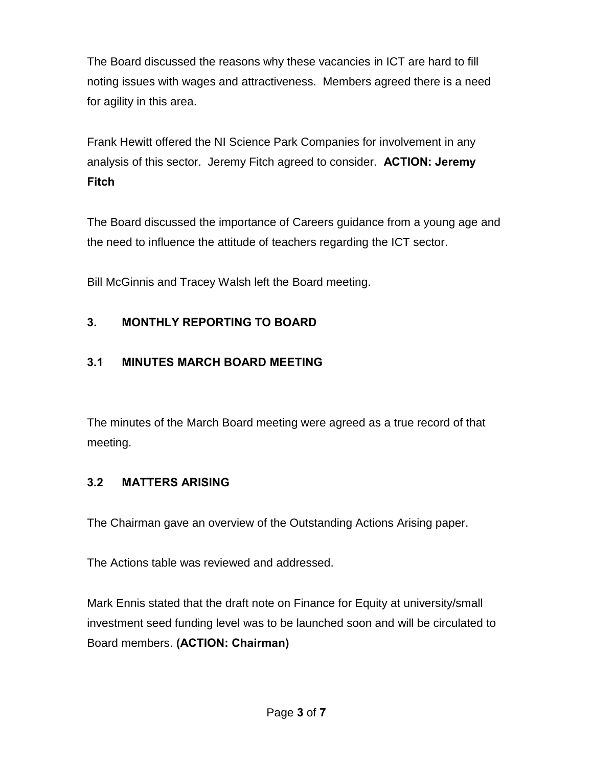The Board discussed the reasons why these vacancies in ICT are hard to fill noting issues with wages and attractiveness. Members agreed there is a need for agility in this area.

Frank Hewitt offered the NI Science Park Companies for involvement in any analysis of this sector. Jeremy Fitch agreed to consider. **ACTION: Jeremy Fitch**

The Board discussed the importance of Careers guidance from a young age and the need to influence the attitude of teachers regarding the ICT sector.

Bill McGinnis and Tracey Walsh left the Board meeting.

# **3. MONTHLY REPORTING TO BOARD**

# **3.1 MINUTES MARCH BOARD MEETING**

The minutes of the March Board meeting were agreed as a true record of that meeting.

# **3.2 MATTERS ARISING**

The Chairman gave an overview of the Outstanding Actions Arising paper.

The Actions table was reviewed and addressed.

Mark Ennis stated that the draft note on Finance for Equity at university/small investment seed funding level was to be launched soon and will be circulated to Board members. **(ACTION: Chairman)**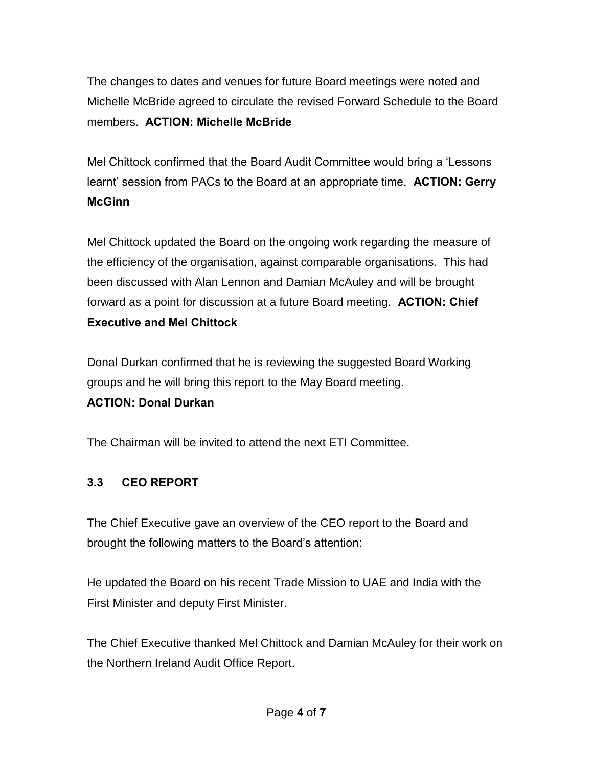The changes to dates and venues for future Board meetings were noted and Michelle McBride agreed to circulate the revised Forward Schedule to the Board members. **ACTION: Michelle McBride**

Mel Chittock confirmed that the Board Audit Committee would bring a 'Lessons learnt' session from PACs to the Board at an appropriate time. **ACTION: Gerry McGinn**

Mel Chittock updated the Board on the ongoing work regarding the measure of the efficiency of the organisation, against comparable organisations. This had been discussed with Alan Lennon and Damian McAuley and will be brought forward as a point for discussion at a future Board meeting. **ACTION: Chief Executive and Mel Chittock**

Donal Durkan confirmed that he is reviewing the suggested Board Working groups and he will bring this report to the May Board meeting.

# **ACTION: Donal Durkan**

The Chairman will be invited to attend the next ETI Committee.

# **3.3 CEO REPORT**

The Chief Executive gave an overview of the CEO report to the Board and brought the following matters to the Board's attention:

He updated the Board on his recent Trade Mission to UAE and India with the First Minister and deputy First Minister.

The Chief Executive thanked Mel Chittock and Damian McAuley for their work on the Northern Ireland Audit Office Report.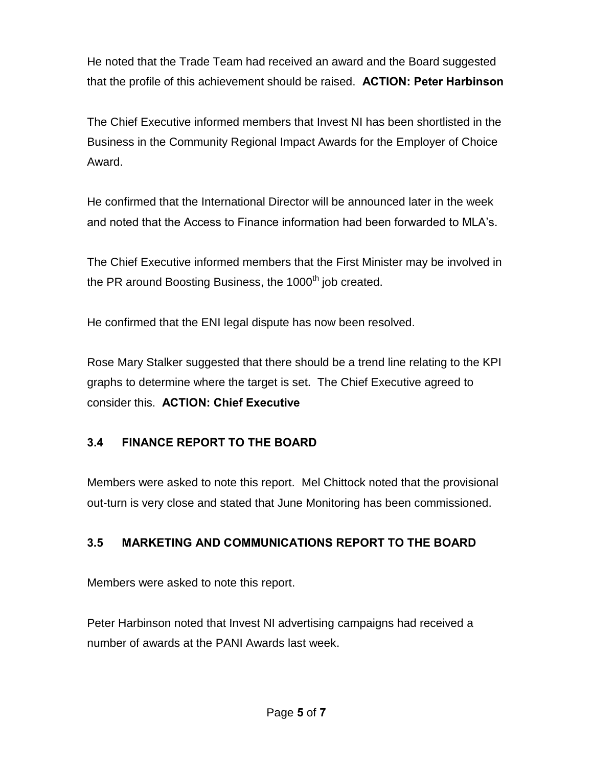He noted that the Trade Team had received an award and the Board suggested that the profile of this achievement should be raised. **ACTION: Peter Harbinson**

The Chief Executive informed members that Invest NI has been shortlisted in the Business in the Community Regional Impact Awards for the Employer of Choice Award.

He confirmed that the International Director will be announced later in the week and noted that the Access to Finance information had been forwarded to MLA's.

The Chief Executive informed members that the First Minister may be involved in the PR around Boosting Business, the  $1000<sup>th</sup>$  job created.

He confirmed that the ENI legal dispute has now been resolved.

Rose Mary Stalker suggested that there should be a trend line relating to the KPI graphs to determine where the target is set. The Chief Executive agreed to consider this. **ACTION: Chief Executive** 

## **3.4 FINANCE REPORT TO THE BOARD**

Members were asked to note this report. Mel Chittock noted that the provisional out-turn is very close and stated that June Monitoring has been commissioned.

## **3.5 MARKETING AND COMMUNICATIONS REPORT TO THE BOARD**

Members were asked to note this report.

Peter Harbinson noted that Invest NI advertising campaigns had received a number of awards at the PANI Awards last week.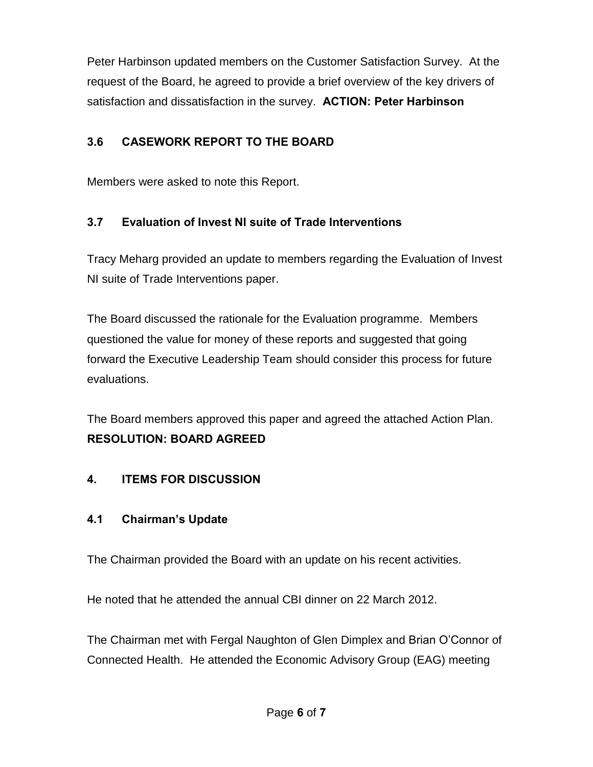Peter Harbinson updated members on the Customer Satisfaction Survey. At the request of the Board, he agreed to provide a brief overview of the key drivers of satisfaction and dissatisfaction in the survey. **ACTION: Peter Harbinson** 

## **3.6 CASEWORK REPORT TO THE BOARD**

Members were asked to note this Report.

## **3.7 Evaluation of Invest NI suite of Trade Interventions**

Tracy Meharg provided an update to members regarding the Evaluation of Invest NI suite of Trade Interventions paper.

The Board discussed the rationale for the Evaluation programme. Members questioned the value for money of these reports and suggested that going forward the Executive Leadership Team should consider this process for future evaluations.

The Board members approved this paper and agreed the attached Action Plan. **RESOLUTION: BOARD AGREED** 

#### **4. ITEMS FOR DISCUSSION**

#### **4.1 Chairman's Update**

The Chairman provided the Board with an update on his recent activities.

He noted that he attended the annual CBI dinner on 22 March 2012.

The Chairman met with Fergal Naughton of Glen Dimplex and Brian O'Connor of Connected Health. He attended the Economic Advisory Group (EAG) meeting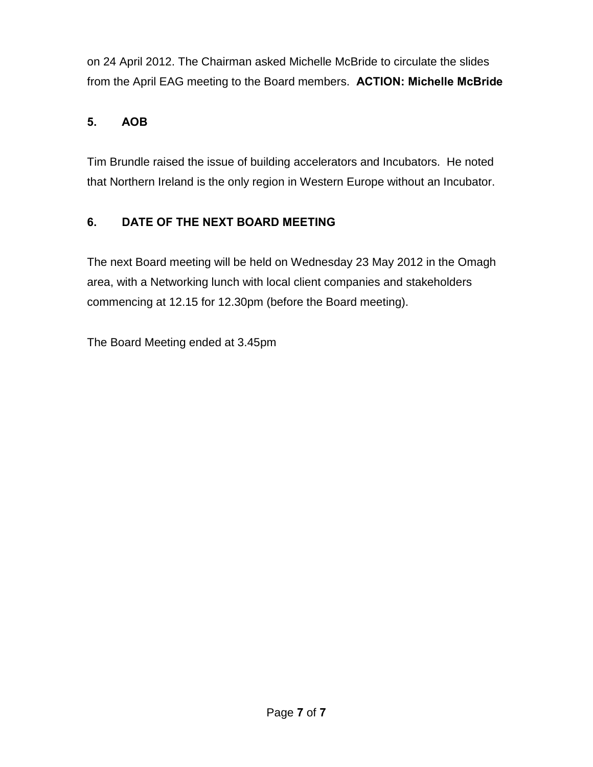on 24 April 2012. The Chairman asked Michelle McBride to circulate the slides from the April EAG meeting to the Board members. **ACTION: Michelle McBride**

# **5. AOB**

Tim Brundle raised the issue of building accelerators and Incubators. He noted that Northern Ireland is the only region in Western Europe without an Incubator.

# **6. DATE OF THE NEXT BOARD MEETING**

The next Board meeting will be held on Wednesday 23 May 2012 in the Omagh area, with a Networking lunch with local client companies and stakeholders commencing at 12.15 for 12.30pm (before the Board meeting).

The Board Meeting ended at 3.45pm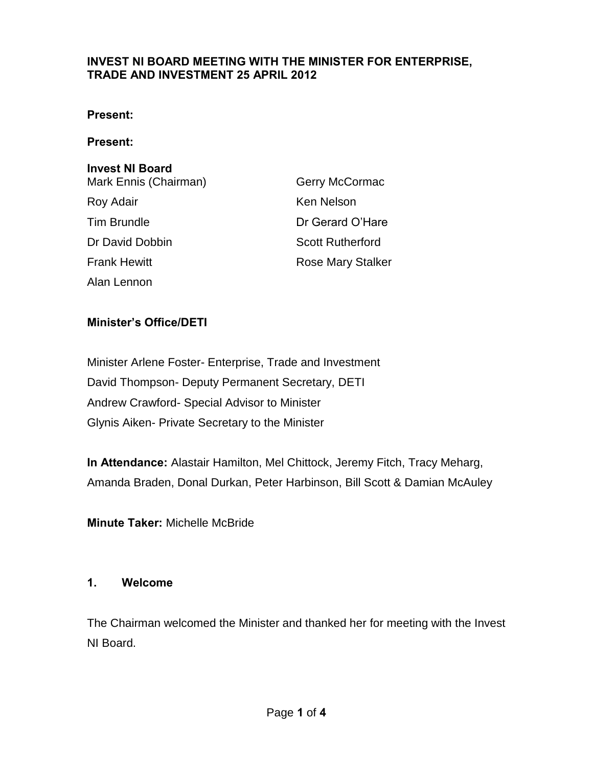#### **INVEST NI BOARD MEETING WITH THE MINISTER FOR ENTERPRISE, TRADE AND INVESTMENT 25 APRIL 2012**

#### **Present:**

#### **Present:**

#### **Invest NI Board**

| Mark Ennis (Chairman) | Gerry McCormac          |
|-----------------------|-------------------------|
| Roy Adair             | Ken Nelson              |
| <b>Tim Brundle</b>    | Dr Gerard O'Hare        |
| Dr David Dobbin       | <b>Scott Rutherford</b> |
| <b>Frank Hewitt</b>   | Rose Mary Stalker       |
| Alan Lennon           |                         |

#### **Minister's Office/DETI**

Minister Arlene Foster- Enterprise, Trade and Investment David Thompson- Deputy Permanent Secretary, DETI Andrew Crawford- Special Advisor to Minister Glynis Aiken- Private Secretary to the Minister

**In Attendance:** Alastair Hamilton, Mel Chittock, Jeremy Fitch, Tracy Meharg, Amanda Braden, Donal Durkan, Peter Harbinson, Bill Scott & Damian McAuley

**Minute Taker:** Michelle McBride

#### **1. Welcome**

The Chairman welcomed the Minister and thanked her for meeting with the Invest NI Board.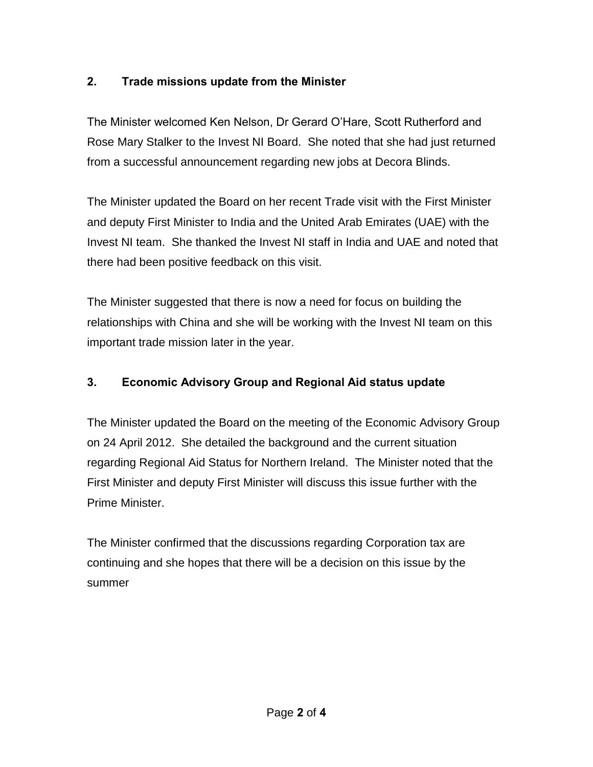## **2. Trade missions update from the Minister**

The Minister welcomed Ken Nelson, Dr Gerard O'Hare, Scott Rutherford and Rose Mary Stalker to the Invest NI Board. She noted that she had just returned from a successful announcement regarding new jobs at Decora Blinds.

The Minister updated the Board on her recent Trade visit with the First Minister and deputy First Minister to India and the United Arab Emirates (UAE) with the Invest NI team. She thanked the Invest NI staff in India and UAE and noted that there had been positive feedback on this visit.

The Minister suggested that there is now a need for focus on building the relationships with China and she will be working with the Invest NI team on this important trade mission later in the year.

## **3. Economic Advisory Group and Regional Aid status update**

The Minister updated the Board on the meeting of the Economic Advisory Group on 24 April 2012. She detailed the background and the current situation regarding Regional Aid Status for Northern Ireland. The Minister noted that the First Minister and deputy First Minister will discuss this issue further with the Prime Minister.

The Minister confirmed that the discussions regarding Corporation tax are continuing and she hopes that there will be a decision on this issue by the summer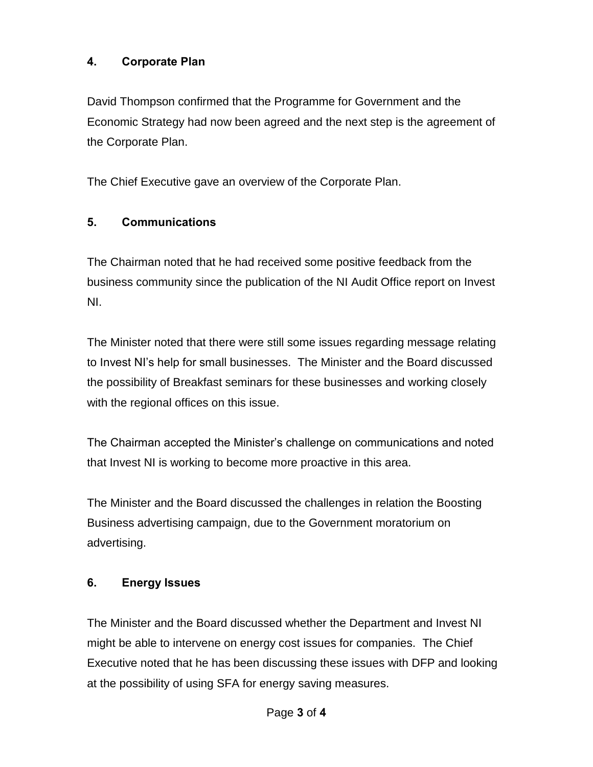#### **4. Corporate Plan**

David Thompson confirmed that the Programme for Government and the Economic Strategy had now been agreed and the next step is the agreement of the Corporate Plan.

The Chief Executive gave an overview of the Corporate Plan.

#### **5. Communications**

The Chairman noted that he had received some positive feedback from the business community since the publication of the NI Audit Office report on Invest NI.

The Minister noted that there were still some issues regarding message relating to Invest NI's help for small businesses. The Minister and the Board discussed the possibility of Breakfast seminars for these businesses and working closely with the regional offices on this issue.

The Chairman accepted the Minister's challenge on communications and noted that Invest NI is working to become more proactive in this area.

The Minister and the Board discussed the challenges in relation the Boosting Business advertising campaign, due to the Government moratorium on advertising.

#### **6. Energy Issues**

The Minister and the Board discussed whether the Department and Invest NI might be able to intervene on energy cost issues for companies. The Chief Executive noted that he has been discussing these issues with DFP and looking at the possibility of using SFA for energy saving measures.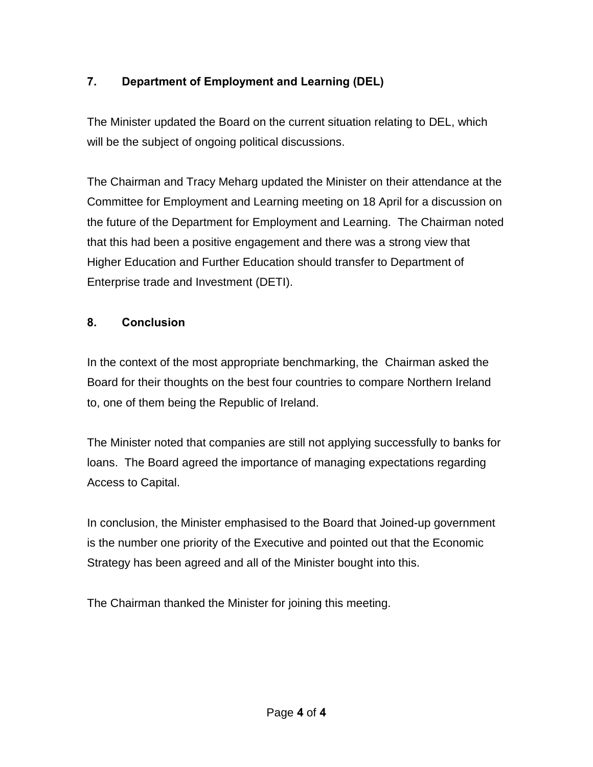# **7. Department of Employment and Learning (DEL)**

The Minister updated the Board on the current situation relating to DEL, which will be the subject of ongoing political discussions.

The Chairman and Tracy Meharg updated the Minister on their attendance at the Committee for Employment and Learning meeting on 18 April for a discussion on the future of the Department for Employment and Learning. The Chairman noted that this had been a positive engagement and there was a strong view that Higher Education and Further Education should transfer to Department of Enterprise trade and Investment (DETI).

#### **8. Conclusion**

In the context of the most appropriate benchmarking, the Chairman asked the Board for their thoughts on the best four countries to compare Northern Ireland to, one of them being the Republic of Ireland.

The Minister noted that companies are still not applying successfully to banks for loans. The Board agreed the importance of managing expectations regarding Access to Capital.

In conclusion, the Minister emphasised to the Board that Joined-up government is the number one priority of the Executive and pointed out that the Economic Strategy has been agreed and all of the Minister bought into this.

The Chairman thanked the Minister for joining this meeting.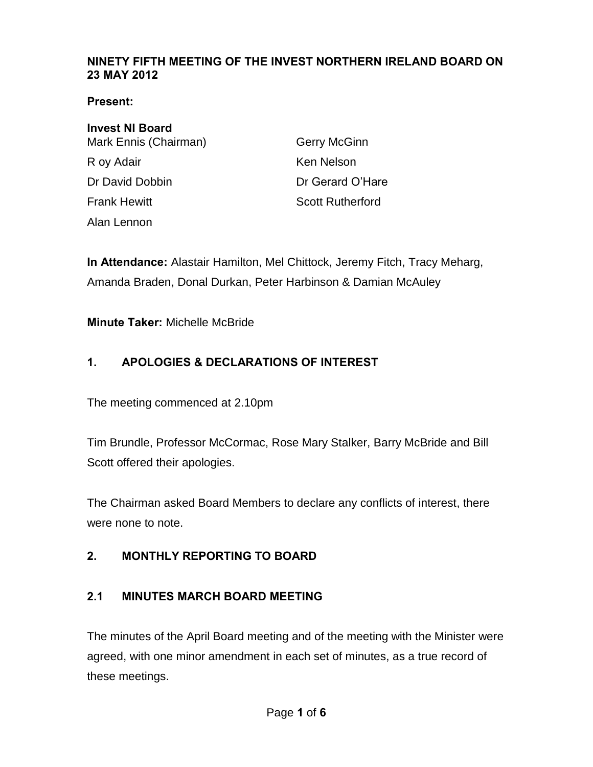#### **NINETY FIFTH MEETING OF THE INVEST NORTHERN IRELAND BOARD ON 23 MAY 2012**

**Present:** 

# **Invest NI Board**  Mark Ennis (Chairman) Gerry McGinn

R oy Adair **Ken Nelson Frank Hewitt** Scott Rutherford Alan Lennon

Dr David Dobbin **Dr Gerard O'Hare** 

**In Attendance:** Alastair Hamilton, Mel Chittock, Jeremy Fitch, Tracy Meharg, Amanda Braden, Donal Durkan, Peter Harbinson & Damian McAuley

**Minute Taker:** Michelle McBride

## **1. APOLOGIES & DECLARATIONS OF INTEREST**

The meeting commenced at 2.10pm

Tim Brundle, Professor McCormac, Rose Mary Stalker, Barry McBride and Bill Scott offered their apologies.

The Chairman asked Board Members to declare any conflicts of interest, there were none to note.

## **2. MONTHLY REPORTING TO BOARD**

## **2.1 MINUTES MARCH BOARD MEETING**

The minutes of the April Board meeting and of the meeting with the Minister were agreed, with one minor amendment in each set of minutes, as a true record of these meetings.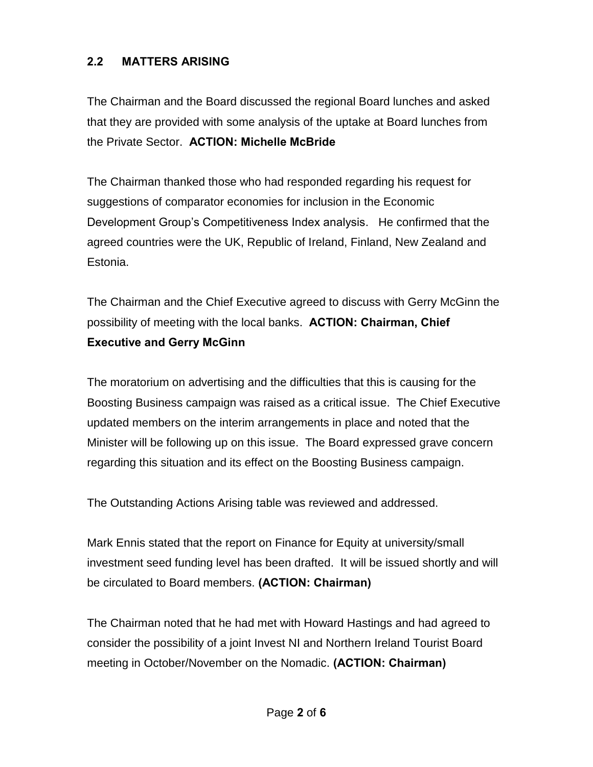#### **2.2 MATTERS ARISING**

The Chairman and the Board discussed the regional Board lunches and asked that they are provided with some analysis of the uptake at Board lunches from the Private Sector. **ACTION: Michelle McBride** 

The Chairman thanked those who had responded regarding his request for suggestions of comparator economies for inclusion in the Economic Development Group's Competitiveness Index analysis. He confirmed that the agreed countries were the UK, Republic of Ireland, Finland, New Zealand and Estonia.

The Chairman and the Chief Executive agreed to discuss with Gerry McGinn the possibility of meeting with the local banks. **ACTION: Chairman, Chief Executive and Gerry McGinn**

The moratorium on advertising and the difficulties that this is causing for the Boosting Business campaign was raised as a critical issue. The Chief Executive updated members on the interim arrangements in place and noted that the Minister will be following up on this issue. The Board expressed grave concern regarding this situation and its effect on the Boosting Business campaign.

The Outstanding Actions Arising table was reviewed and addressed.

Mark Ennis stated that the report on Finance for Equity at university/small investment seed funding level has been drafted. It will be issued shortly and will be circulated to Board members. **(ACTION: Chairman)** 

The Chairman noted that he had met with Howard Hastings and had agreed to consider the possibility of a joint Invest NI and Northern Ireland Tourist Board meeting in October/November on the Nomadic. **(ACTION: Chairman)**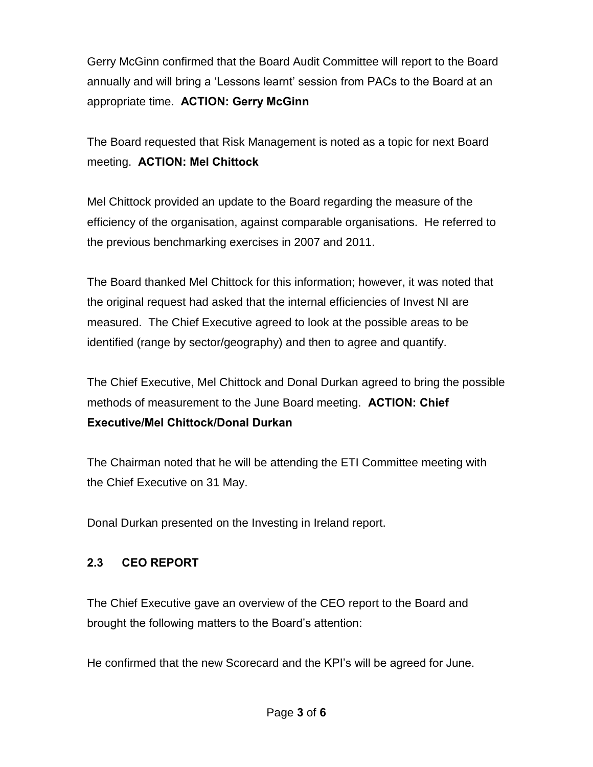Gerry McGinn confirmed that the Board Audit Committee will report to the Board annually and will bring a 'Lessons learnt' session from PACs to the Board at an appropriate time. **ACTION: Gerry McGinn** 

The Board requested that Risk Management is noted as a topic for next Board meeting. **ACTION: Mel Chittock** 

Mel Chittock provided an update to the Board regarding the measure of the efficiency of the organisation, against comparable organisations. He referred to the previous benchmarking exercises in 2007 and 2011.

The Board thanked Mel Chittock for this information; however, it was noted that the original request had asked that the internal efficiencies of Invest NI are measured. The Chief Executive agreed to look at the possible areas to be identified (range by sector/geography) and then to agree and quantify.

The Chief Executive, Mel Chittock and Donal Durkan agreed to bring the possible methods of measurement to the June Board meeting. **ACTION: Chief Executive/Mel Chittock/Donal Durkan**

The Chairman noted that he will be attending the ETI Committee meeting with the Chief Executive on 31 May.

Donal Durkan presented on the Investing in Ireland report.

#### **2.3 CEO REPORT**

The Chief Executive gave an overview of the CEO report to the Board and brought the following matters to the Board's attention:

He confirmed that the new Scorecard and the KPI's will be agreed for June.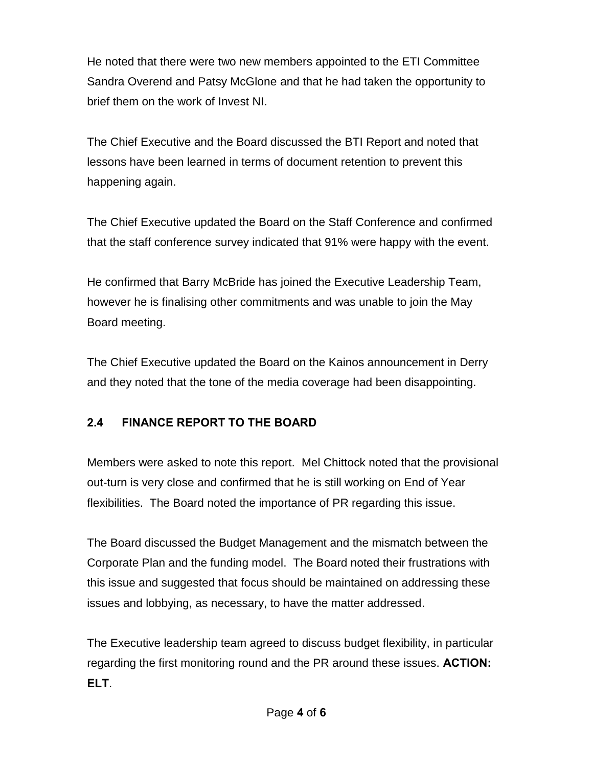He noted that there were two new members appointed to the ETI Committee Sandra Overend and Patsy McGlone and that he had taken the opportunity to brief them on the work of Invest NI.

The Chief Executive and the Board discussed the BTI Report and noted that lessons have been learned in terms of document retention to prevent this happening again.

The Chief Executive updated the Board on the Staff Conference and confirmed that the staff conference survey indicated that 91% were happy with the event.

He confirmed that Barry McBride has joined the Executive Leadership Team, however he is finalising other commitments and was unable to join the May Board meeting.

The Chief Executive updated the Board on the Kainos announcement in Derry and they noted that the tone of the media coverage had been disappointing.

## **2.4 FINANCE REPORT TO THE BOARD**

Members were asked to note this report. Mel Chittock noted that the provisional out-turn is very close and confirmed that he is still working on End of Year flexibilities. The Board noted the importance of PR regarding this issue.

The Board discussed the Budget Management and the mismatch between the Corporate Plan and the funding model. The Board noted their frustrations with this issue and suggested that focus should be maintained on addressing these issues and lobbying, as necessary, to have the matter addressed.

The Executive leadership team agreed to discuss budget flexibility, in particular regarding the first monitoring round and the PR around these issues. **ACTION: ELT**.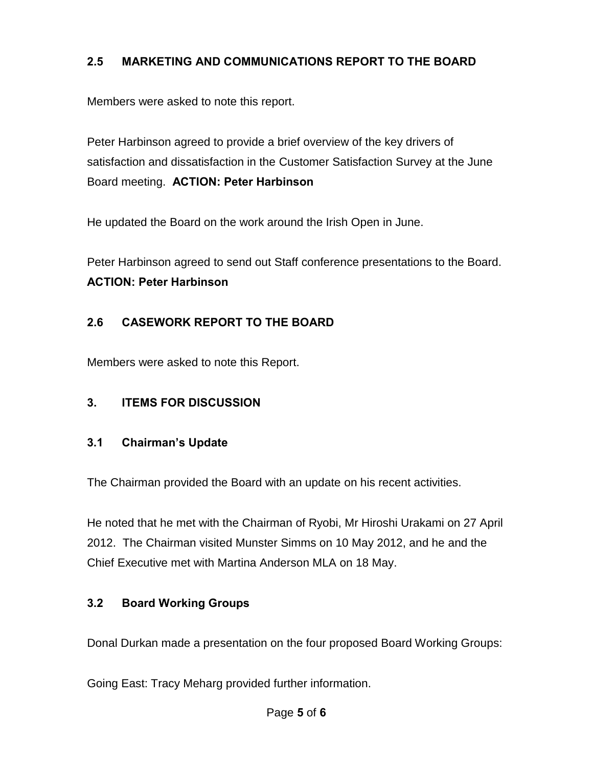#### **2.5 MARKETING AND COMMUNICATIONS REPORT TO THE BOARD**

Members were asked to note this report.

Peter Harbinson agreed to provide a brief overview of the key drivers of satisfaction and dissatisfaction in the Customer Satisfaction Survey at the June Board meeting. **ACTION: Peter Harbinson** 

He updated the Board on the work around the Irish Open in June.

Peter Harbinson agreed to send out Staff conference presentations to the Board. **ACTION: Peter Harbinson** 

#### **2.6 CASEWORK REPORT TO THE BOARD**

Members were asked to note this Report.

#### **3. ITEMS FOR DISCUSSION**

#### **3.1 Chairman's Update**

The Chairman provided the Board with an update on his recent activities.

He noted that he met with the Chairman of Ryobi, Mr Hiroshi Urakami on 27 April 2012. The Chairman visited Munster Simms on 10 May 2012, and he and the Chief Executive met with Martina Anderson MLA on 18 May.

#### **3.2 Board Working Groups**

Donal Durkan made a presentation on the four proposed Board Working Groups:

Going East: Tracy Meharg provided further information.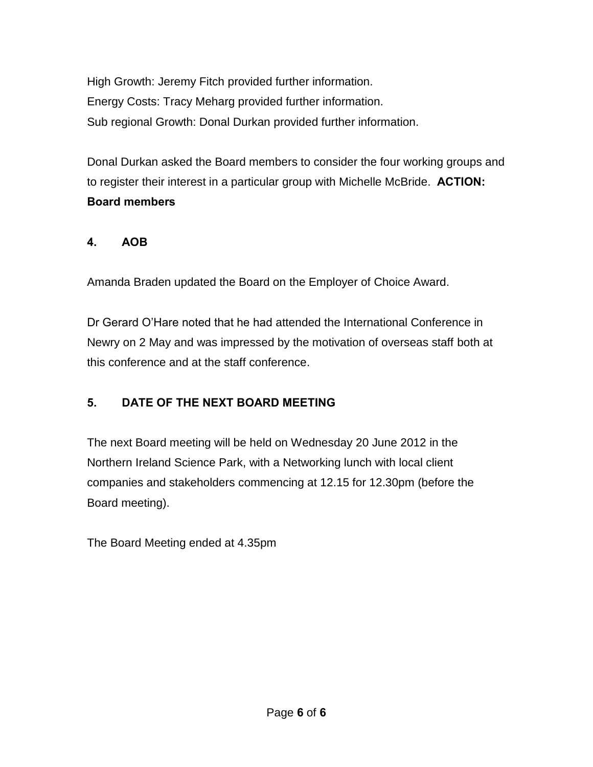High Growth: Jeremy Fitch provided further information. Energy Costs: Tracy Meharg provided further information. Sub regional Growth: Donal Durkan provided further information.

Donal Durkan asked the Board members to consider the four working groups and to register their interest in a particular group with Michelle McBride. **ACTION: Board members**

## **4. AOB**

Amanda Braden updated the Board on the Employer of Choice Award.

Dr Gerard O'Hare noted that he had attended the International Conference in Newry on 2 May and was impressed by the motivation of overseas staff both at this conference and at the staff conference.

## **5. DATE OF THE NEXT BOARD MEETING**

The next Board meeting will be held on Wednesday 20 June 2012 in the Northern Ireland Science Park, with a Networking lunch with local client companies and stakeholders commencing at 12.15 for 12.30pm (before the Board meeting).

The Board Meeting ended at 4.35pm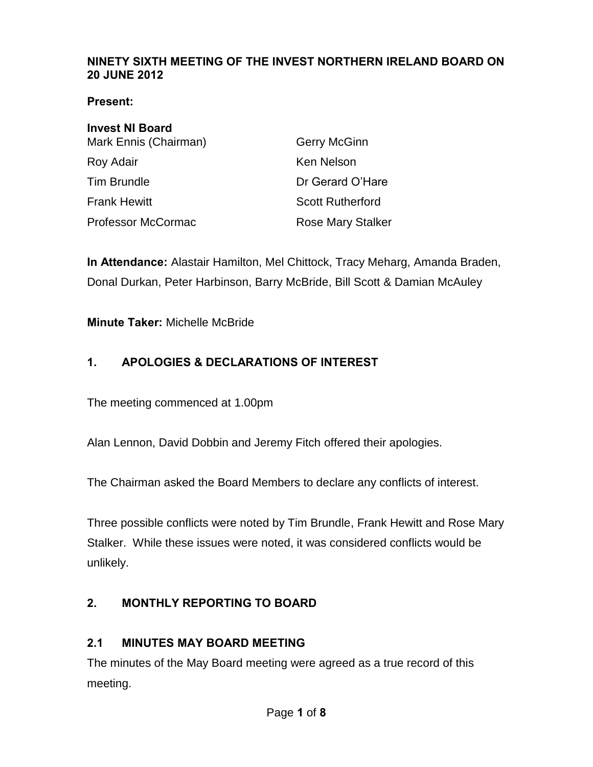#### **NINETY SIXTH MEETING OF THE INVEST NORTHERN IRELAND BOARD ON 20 JUNE 2012**

#### **Present:**

| <b>Invest NI Board</b>    |                          |
|---------------------------|--------------------------|
| Mark Ennis (Chairman)     | Gerry McGinn             |
| Roy Adair                 | Ken Nelson               |
| <b>Tim Brundle</b>        | Dr Gerard O'Hare         |
| <b>Frank Hewitt</b>       | <b>Scott Rutherford</b>  |
| <b>Professor McCormac</b> | <b>Rose Mary Stalker</b> |

**In Attendance:** Alastair Hamilton, Mel Chittock, Tracy Meharg, Amanda Braden, Donal Durkan, Peter Harbinson, Barry McBride, Bill Scott & Damian McAuley

**Minute Taker:** Michelle McBride

## **1. APOLOGIES & DECLARATIONS OF INTEREST**

The meeting commenced at 1.00pm

Alan Lennon, David Dobbin and Jeremy Fitch offered their apologies.

The Chairman asked the Board Members to declare any conflicts of interest.

Three possible conflicts were noted by Tim Brundle, Frank Hewitt and Rose Mary Stalker. While these issues were noted, it was considered conflicts would be unlikely.

## **2. MONTHLY REPORTING TO BOARD**

#### **2.1 MINUTES MAY BOARD MEETING**

The minutes of the May Board meeting were agreed as a true record of this meeting.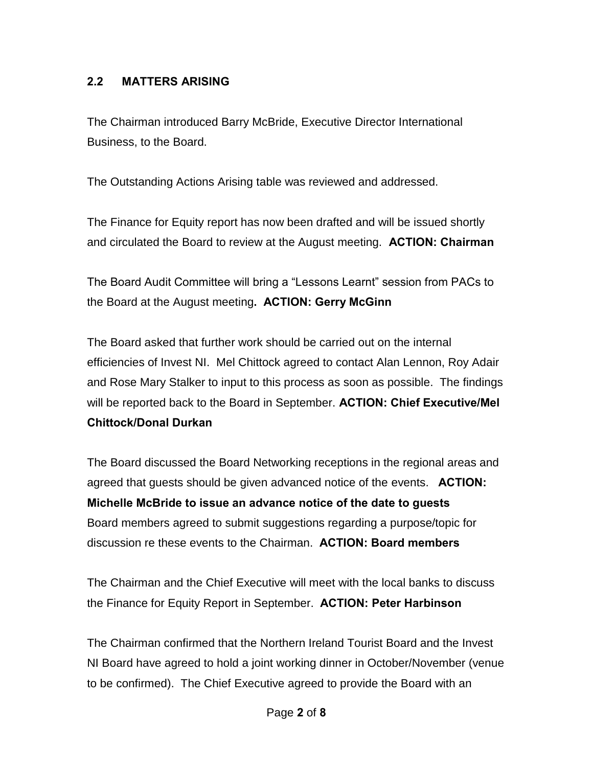## **2.2 MATTERS ARISING**

The Chairman introduced Barry McBride, Executive Director International Business, to the Board.

The Outstanding Actions Arising table was reviewed and addressed.

The Finance for Equity report has now been drafted and will be issued shortly and circulated the Board to review at the August meeting. **ACTION: Chairman** 

The Board Audit Committee will bring a "Lessons Learnt" session from PACs to the Board at the August meeting**. ACTION: Gerry McGinn**

The Board asked that further work should be carried out on the internal efficiencies of Invest NI. Mel Chittock agreed to contact Alan Lennon, Roy Adair and Rose Mary Stalker to input to this process as soon as possible. The findings will be reported back to the Board in September. **ACTION: Chief Executive/Mel Chittock/Donal Durkan**

The Board discussed the Board Networking receptions in the regional areas and agreed that guests should be given advanced notice of the events. **ACTION: Michelle McBride to issue an advance notice of the date to guests**  Board members agreed to submit suggestions regarding a purpose/topic for discussion re these events to the Chairman. **ACTION: Board members** 

The Chairman and the Chief Executive will meet with the local banks to discuss the Finance for Equity Report in September. **ACTION: Peter Harbinson** 

The Chairman confirmed that the Northern Ireland Tourist Board and the Invest NI Board have agreed to hold a joint working dinner in October/November (venue to be confirmed). The Chief Executive agreed to provide the Board with an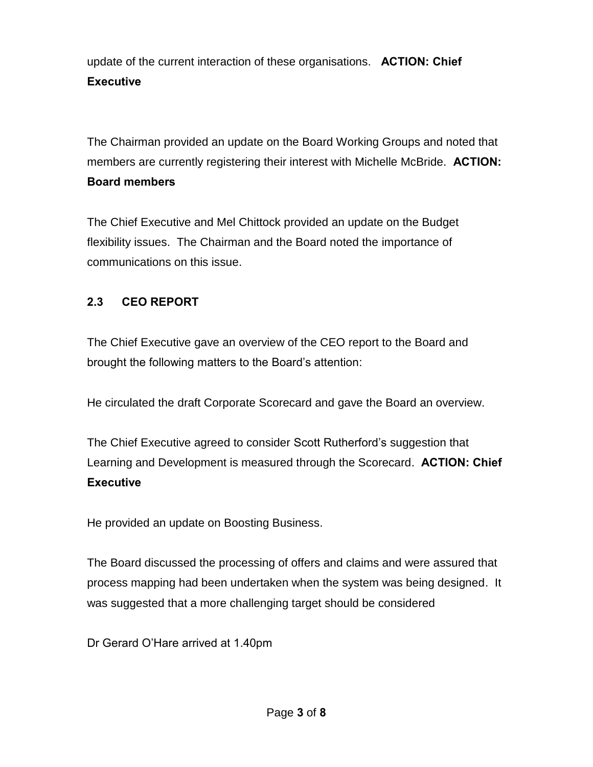update of the current interaction of these organisations. **ACTION: Chief Executive**

The Chairman provided an update on the Board Working Groups and noted that members are currently registering their interest with Michelle McBride. **ACTION: Board members** 

The Chief Executive and Mel Chittock provided an update on the Budget flexibility issues. The Chairman and the Board noted the importance of communications on this issue.

#### **2.3 CEO REPORT**

The Chief Executive gave an overview of the CEO report to the Board and brought the following matters to the Board's attention:

He circulated the draft Corporate Scorecard and gave the Board an overview.

The Chief Executive agreed to consider Scott Rutherford's suggestion that Learning and Development is measured through the Scorecard. **ACTION: Chief Executive**

He provided an update on Boosting Business.

The Board discussed the processing of offers and claims and were assured that process mapping had been undertaken when the system was being designed. It was suggested that a more challenging target should be considered

Dr Gerard O'Hare arrived at 1.40pm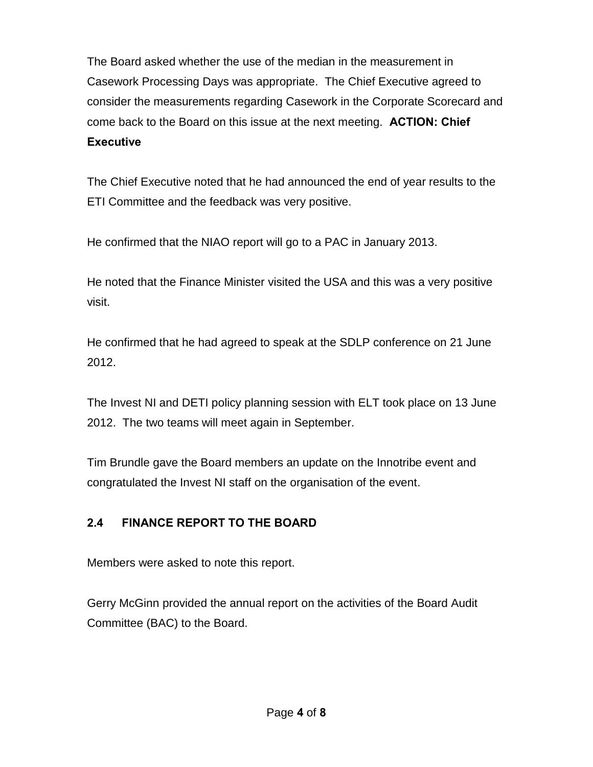The Board asked whether the use of the median in the measurement in Casework Processing Days was appropriate. The Chief Executive agreed to consider the measurements regarding Casework in the Corporate Scorecard and come back to the Board on this issue at the next meeting. **ACTION: Chief Executive**

The Chief Executive noted that he had announced the end of year results to the ETI Committee and the feedback was very positive.

He confirmed that the NIAO report will go to a PAC in January 2013.

He noted that the Finance Minister visited the USA and this was a very positive visit.

He confirmed that he had agreed to speak at the SDLP conference on 21 June 2012.

The Invest NI and DETI policy planning session with ELT took place on 13 June 2012. The two teams will meet again in September.

Tim Brundle gave the Board members an update on the Innotribe event and congratulated the Invest NI staff on the organisation of the event.

## **2.4 FINANCE REPORT TO THE BOARD**

Members were asked to note this report.

Gerry McGinn provided the annual report on the activities of the Board Audit Committee (BAC) to the Board.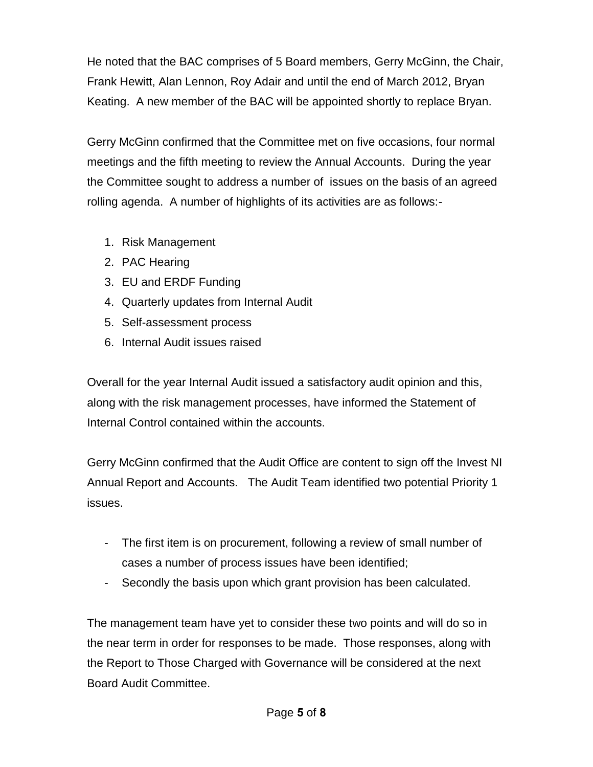He noted that the BAC comprises of 5 Board members, Gerry McGinn, the Chair, Frank Hewitt, Alan Lennon, Roy Adair and until the end of March 2012, Bryan Keating. A new member of the BAC will be appointed shortly to replace Bryan.

Gerry McGinn confirmed that the Committee met on five occasions, four normal meetings and the fifth meeting to review the Annual Accounts. During the year the Committee sought to address a number of issues on the basis of an agreed rolling agenda. A number of highlights of its activities are as follows:-

- 1. Risk Management
- 2. PAC Hearing
- 3. EU and ERDF Funding
- 4. Quarterly updates from Internal Audit
- 5. Self-assessment process
- 6. Internal Audit issues raised

Overall for the year Internal Audit issued a satisfactory audit opinion and this, along with the risk management processes, have informed the Statement of Internal Control contained within the accounts.

Gerry McGinn confirmed that the Audit Office are content to sign off the Invest NI Annual Report and Accounts. The Audit Team identified two potential Priority 1 issues.

- The first item is on procurement, following a review of small number of cases a number of process issues have been identified;
- Secondly the basis upon which grant provision has been calculated.

The management team have yet to consider these two points and will do so in the near term in order for responses to be made. Those responses, along with the Report to Those Charged with Governance will be considered at the next Board Audit Committee.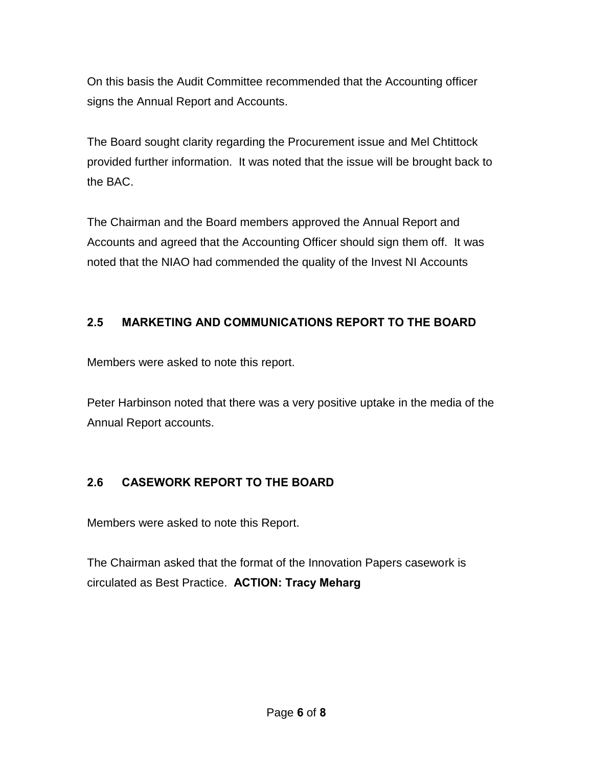On this basis the Audit Committee recommended that the Accounting officer signs the Annual Report and Accounts.

The Board sought clarity regarding the Procurement issue and Mel Chtittock provided further information. It was noted that the issue will be brought back to the BAC.

The Chairman and the Board members approved the Annual Report and Accounts and agreed that the Accounting Officer should sign them off. It was noted that the NIAO had commended the quality of the Invest NI Accounts

## **2.5 MARKETING AND COMMUNICATIONS REPORT TO THE BOARD**

Members were asked to note this report.

Peter Harbinson noted that there was a very positive uptake in the media of the Annual Report accounts.

## **2.6 CASEWORK REPORT TO THE BOARD**

Members were asked to note this Report.

The Chairman asked that the format of the Innovation Papers casework is circulated as Best Practice. **ACTION: Tracy Meharg**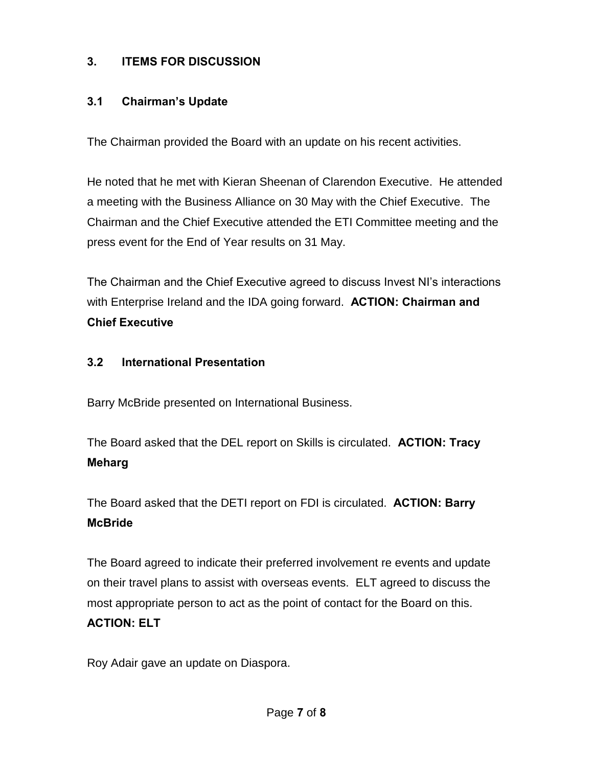## **3. ITEMS FOR DISCUSSION**

#### **3.1 Chairman's Update**

The Chairman provided the Board with an update on his recent activities.

He noted that he met with Kieran Sheenan of Clarendon Executive. He attended a meeting with the Business Alliance on 30 May with the Chief Executive. The Chairman and the Chief Executive attended the ETI Committee meeting and the press event for the End of Year results on 31 May.

The Chairman and the Chief Executive agreed to discuss Invest NI's interactions with Enterprise Ireland and the IDA going forward. **ACTION: Chairman and Chief Executive**

#### **3.2 International Presentation**

Barry McBride presented on International Business.

The Board asked that the DEL report on Skills is circulated. **ACTION: Tracy Meharg** 

The Board asked that the DETI report on FDI is circulated. **ACTION: Barry McBride**

The Board agreed to indicate their preferred involvement re events and update on their travel plans to assist with overseas events. ELT agreed to discuss the most appropriate person to act as the point of contact for the Board on this. **ACTION: ELT** 

Roy Adair gave an update on Diaspora.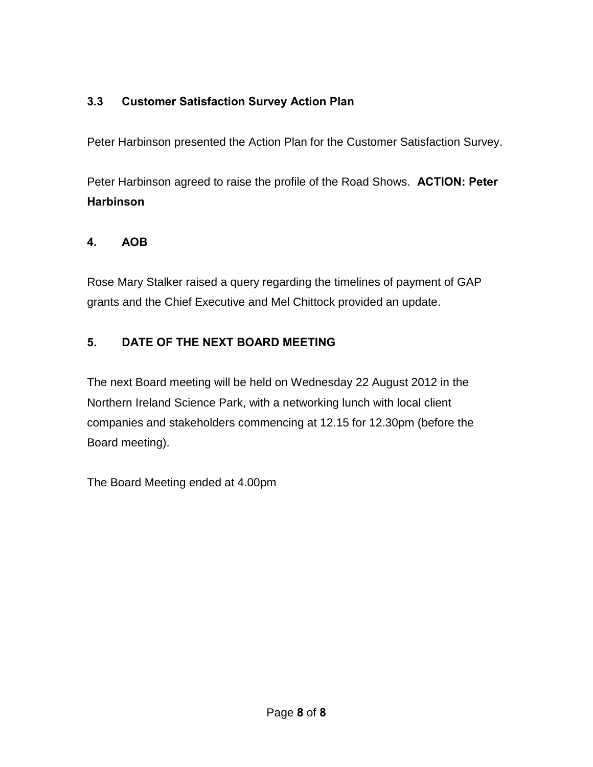## **3.3 Customer Satisfaction Survey Action Plan**

Peter Harbinson presented the Action Plan for the Customer Satisfaction Survey.

Peter Harbinson agreed to raise the profile of the Road Shows. **ACTION: Peter Harbinson**

#### **4. AOB**

Rose Mary Stalker raised a query regarding the timelines of payment of GAP grants and the Chief Executive and Mel Chittock provided an update.

## **5. DATE OF THE NEXT BOARD MEETING**

The next Board meeting will be held on Wednesday 22 August 2012 in the Northern Ireland Science Park, with a networking lunch with local client companies and stakeholders commencing at 12.15 for 12.30pm (before the Board meeting).

The Board Meeting ended at 4.00pm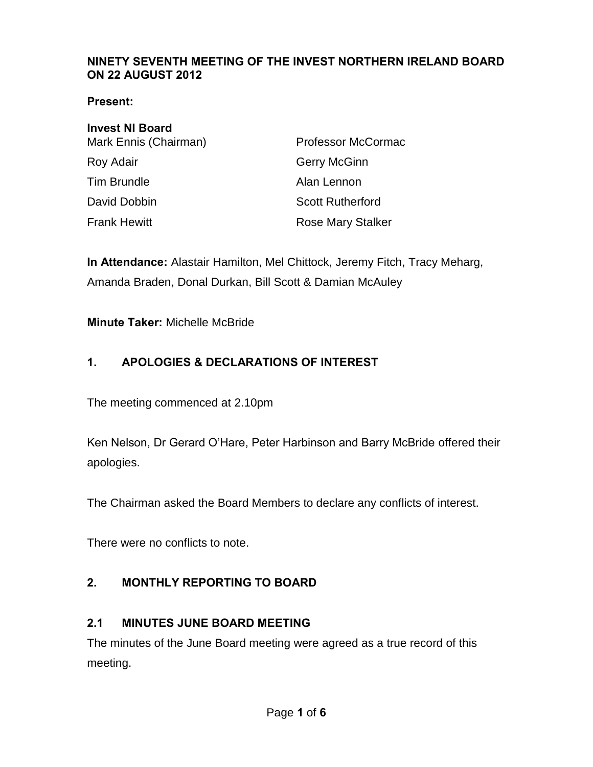#### **NINETY SEVENTH MEETING OF THE INVEST NORTHERN IRELAND BOARD ON 22 AUGUST 2012**

**Present:** 

# **Invest NI Board**

| Mark Ennis (Chairman) | Professor McCormac       |
|-----------------------|--------------------------|
| Roy Adair             | Gerry McGinn             |
| Tim Brundle           | Alan Lennon              |
| David Dobbin          | <b>Scott Rutherford</b>  |
| Frank Hewitt          | <b>Rose Mary Stalker</b> |

**In Attendance:** Alastair Hamilton, Mel Chittock, Jeremy Fitch, Tracy Meharg, Amanda Braden, Donal Durkan, Bill Scott & Damian McAuley

**Minute Taker:** Michelle McBride

## **1. APOLOGIES & DECLARATIONS OF INTEREST**

The meeting commenced at 2.10pm

Ken Nelson, Dr Gerard O'Hare, Peter Harbinson and Barry McBride offered their apologies.

The Chairman asked the Board Members to declare any conflicts of interest.

There were no conflicts to note.

## **2. MONTHLY REPORTING TO BOARD**

#### **2.1 MINUTES JUNE BOARD MEETING**

The minutes of the June Board meeting were agreed as a true record of this meeting.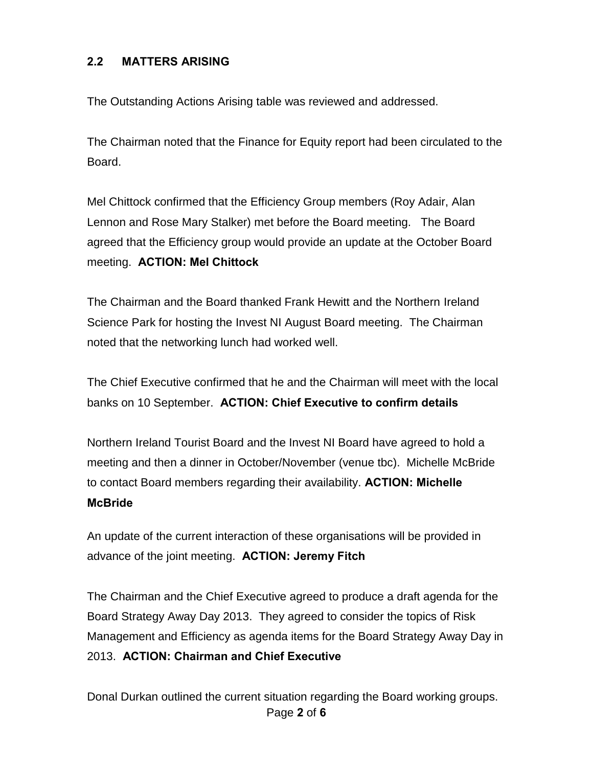#### **2.2 MATTERS ARISING**

The Outstanding Actions Arising table was reviewed and addressed.

The Chairman noted that the Finance for Equity report had been circulated to the Board.

Mel Chittock confirmed that the Efficiency Group members (Roy Adair, Alan Lennon and Rose Mary Stalker) met before the Board meeting. The Board agreed that the Efficiency group would provide an update at the October Board meeting. **ACTION: Mel Chittock** 

The Chairman and the Board thanked Frank Hewitt and the Northern Ireland Science Park for hosting the Invest NI August Board meeting. The Chairman noted that the networking lunch had worked well.

The Chief Executive confirmed that he and the Chairman will meet with the local banks on 10 September. **ACTION: Chief Executive to confirm details** 

Northern Ireland Tourist Board and the Invest NI Board have agreed to hold a meeting and then a dinner in October/November (venue tbc). Michelle McBride to contact Board members regarding their availability. **ACTION: Michelle McBride** 

An update of the current interaction of these organisations will be provided in advance of the joint meeting. **ACTION: Jeremy Fitch**

The Chairman and the Chief Executive agreed to produce a draft agenda for the Board Strategy Away Day 2013. They agreed to consider the topics of Risk Management and Efficiency as agenda items for the Board Strategy Away Day in 2013. **ACTION: Chairman and Chief Executive**

Page **2** of **6** Donal Durkan outlined the current situation regarding the Board working groups.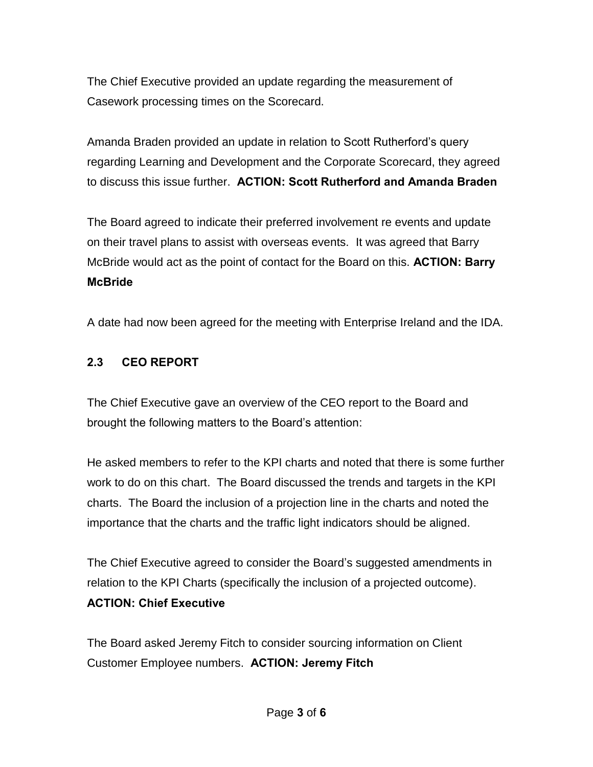The Chief Executive provided an update regarding the measurement of Casework processing times on the Scorecard.

Amanda Braden provided an update in relation to Scott Rutherford's query regarding Learning and Development and the Corporate Scorecard, they agreed to discuss this issue further. **ACTION: Scott Rutherford and Amanda Braden**

The Board agreed to indicate their preferred involvement re events and update on their travel plans to assist with overseas events. It was agreed that Barry McBride would act as the point of contact for the Board on this. **ACTION: Barry McBride** 

A date had now been agreed for the meeting with Enterprise Ireland and the IDA.

## **2.3 CEO REPORT**

The Chief Executive gave an overview of the CEO report to the Board and brought the following matters to the Board's attention:

He asked members to refer to the KPI charts and noted that there is some further work to do on this chart. The Board discussed the trends and targets in the KPI charts. The Board the inclusion of a projection line in the charts and noted the importance that the charts and the traffic light indicators should be aligned.

The Chief Executive agreed to consider the Board's suggested amendments in relation to the KPI Charts (specifically the inclusion of a projected outcome). **ACTION: Chief Executive** 

The Board asked Jeremy Fitch to consider sourcing information on Client Customer Employee numbers. **ACTION: Jeremy Fitch**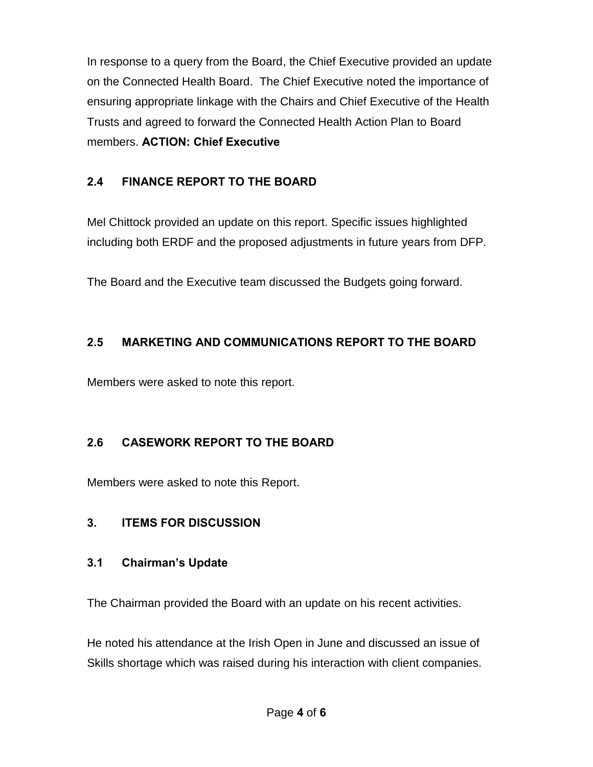In response to a query from the Board, the Chief Executive provided an update on the Connected Health Board. The Chief Executive noted the importance of ensuring appropriate linkage with the Chairs and Chief Executive of the Health Trusts and agreed to forward the Connected Health Action Plan to Board members. **ACTION: Chief Executive**

## **2.4 FINANCE REPORT TO THE BOARD**

Mel Chittock provided an update on this report. Specific issues highlighted including both ERDF and the proposed adjustments in future years from DFP.

The Board and the Executive team discussed the Budgets going forward.

## **2.5 MARKETING AND COMMUNICATIONS REPORT TO THE BOARD**

Members were asked to note this report.

## **2.6 CASEWORK REPORT TO THE BOARD**

Members were asked to note this Report.

#### **3. ITEMS FOR DISCUSSION**

#### **3.1 Chairman's Update**

The Chairman provided the Board with an update on his recent activities.

He noted his attendance at the Irish Open in June and discussed an issue of Skills shortage which was raised during his interaction with client companies.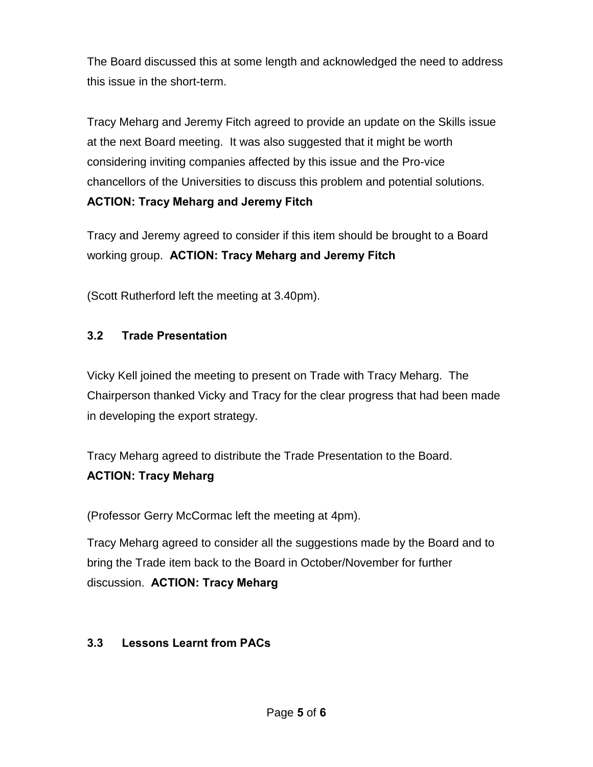The Board discussed this at some length and acknowledged the need to address this issue in the short-term.

Tracy Meharg and Jeremy Fitch agreed to provide an update on the Skills issue at the next Board meeting. It was also suggested that it might be worth considering inviting companies affected by this issue and the Pro-vice chancellors of the Universities to discuss this problem and potential solutions. **ACTION: Tracy Meharg and Jeremy Fitch** 

Tracy and Jeremy agreed to consider if this item should be brought to a Board working group. **ACTION: Tracy Meharg and Jeremy Fitch** 

(Scott Rutherford left the meeting at 3.40pm).

## **3.2 Trade Presentation**

Vicky Kell joined the meeting to present on Trade with Tracy Meharg. The Chairperson thanked Vicky and Tracy for the clear progress that had been made in developing the export strategy.

Tracy Meharg agreed to distribute the Trade Presentation to the Board. **ACTION: Tracy Meharg**

(Professor Gerry McCormac left the meeting at 4pm).

Tracy Meharg agreed to consider all the suggestions made by the Board and to bring the Trade item back to the Board in October/November for further discussion. **ACTION: Tracy Meharg** 

#### **3.3 Lessons Learnt from PACs**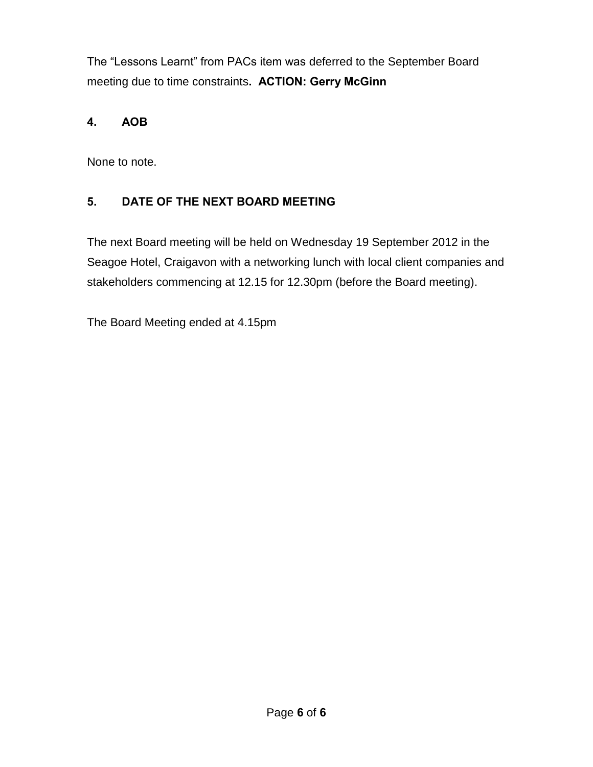The "Lessons Learnt" from PACs item was deferred to the September Board meeting due to time constraints**. ACTION: Gerry McGinn**

## **4. AOB**

None to note.

## **5. DATE OF THE NEXT BOARD MEETING**

The next Board meeting will be held on Wednesday 19 September 2012 in the Seagoe Hotel, Craigavon with a networking lunch with local client companies and stakeholders commencing at 12.15 for 12.30pm (before the Board meeting).

The Board Meeting ended at 4.15pm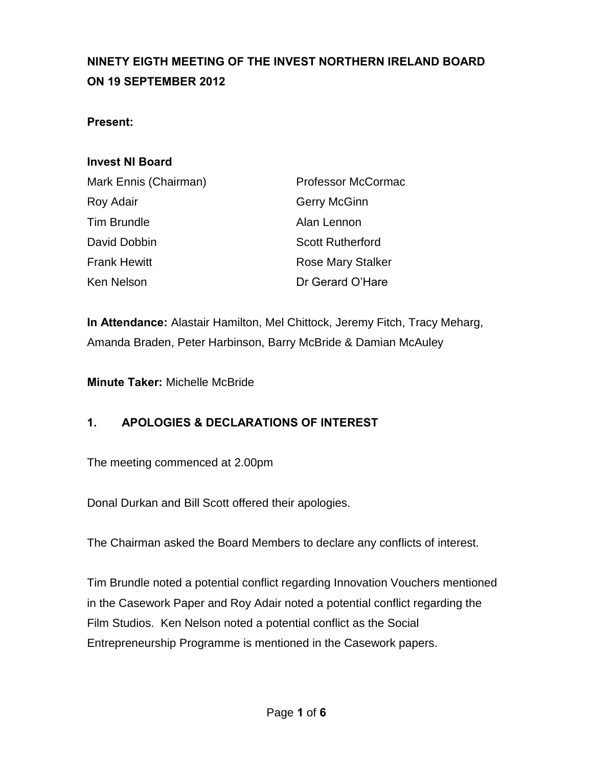# **NINETY EIGTH MEETING OF THE INVEST NORTHERN IRELAND BOARD ON 19 SEPTEMBER 2012**

#### **Present:**

#### **Invest NI Board**

| Mark Ennis (Chairman) | <b>Professor McCormac</b> |
|-----------------------|---------------------------|
| Roy Adair             | <b>Gerry McGinn</b>       |
| <b>Tim Brundle</b>    | Alan Lennon               |
| David Dobbin          | <b>Scott Rutherford</b>   |
| <b>Frank Hewitt</b>   | Rose Mary Stalker         |
| Ken Nelson            | Dr Gerard O'Hare          |

**In Attendance:** Alastair Hamilton, Mel Chittock, Jeremy Fitch, Tracy Meharg, Amanda Braden, Peter Harbinson, Barry McBride & Damian McAuley

**Minute Taker:** Michelle McBride

#### **1. APOLOGIES & DECLARATIONS OF INTEREST**

The meeting commenced at 2.00pm

Donal Durkan and Bill Scott offered their apologies.

The Chairman asked the Board Members to declare any conflicts of interest.

Tim Brundle noted a potential conflict regarding Innovation Vouchers mentioned in the Casework Paper and Roy Adair noted a potential conflict regarding the Film Studios. Ken Nelson noted a potential conflict as the Social Entrepreneurship Programme is mentioned in the Casework papers.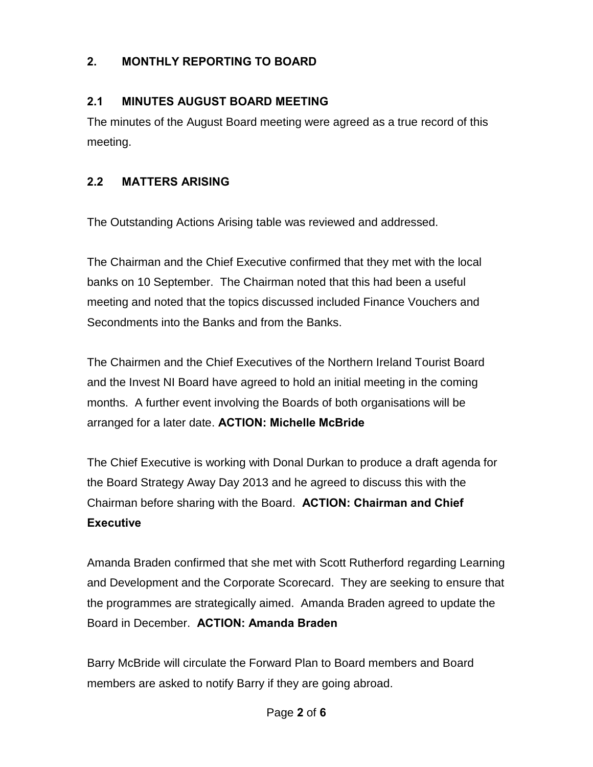## **2. MONTHLY REPORTING TO BOARD**

#### **2.1 MINUTES AUGUST BOARD MEETING**

The minutes of the August Board meeting were agreed as a true record of this meeting.

## **2.2 MATTERS ARISING**

The Outstanding Actions Arising table was reviewed and addressed.

The Chairman and the Chief Executive confirmed that they met with the local banks on 10 September. The Chairman noted that this had been a useful meeting and noted that the topics discussed included Finance Vouchers and Secondments into the Banks and from the Banks.

The Chairmen and the Chief Executives of the Northern Ireland Tourist Board and the Invest NI Board have agreed to hold an initial meeting in the coming months. A further event involving the Boards of both organisations will be arranged for a later date. **ACTION: Michelle McBride** 

The Chief Executive is working with Donal Durkan to produce a draft agenda for the Board Strategy Away Day 2013 and he agreed to discuss this with the Chairman before sharing with the Board. **ACTION: Chairman and Chief Executive**

Amanda Braden confirmed that she met with Scott Rutherford regarding Learning and Development and the Corporate Scorecard. They are seeking to ensure that the programmes are strategically aimed. Amanda Braden agreed to update the Board in December. **ACTION: Amanda Braden**

Barry McBride will circulate the Forward Plan to Board members and Board members are asked to notify Barry if they are going abroad.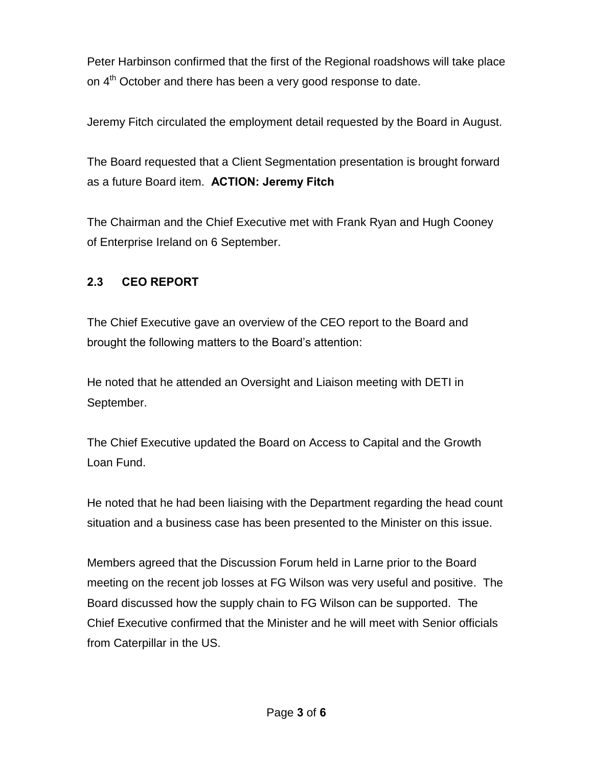Peter Harbinson confirmed that the first of the Regional roadshows will take place on 4<sup>th</sup> October and there has been a very good response to date.

Jeremy Fitch circulated the employment detail requested by the Board in August.

The Board requested that a Client Segmentation presentation is brought forward as a future Board item. **ACTION: Jeremy Fitch** 

The Chairman and the Chief Executive met with Frank Ryan and Hugh Cooney of Enterprise Ireland on 6 September.

## **2.3 CEO REPORT**

The Chief Executive gave an overview of the CEO report to the Board and brought the following matters to the Board's attention:

He noted that he attended an Oversight and Liaison meeting with DETI in September.

The Chief Executive updated the Board on Access to Capital and the Growth Loan Fund.

He noted that he had been liaising with the Department regarding the head count situation and a business case has been presented to the Minister on this issue.

Members agreed that the Discussion Forum held in Larne prior to the Board meeting on the recent job losses at FG Wilson was very useful and positive. The Board discussed how the supply chain to FG Wilson can be supported. The Chief Executive confirmed that the Minister and he will meet with Senior officials from Caterpillar in the US.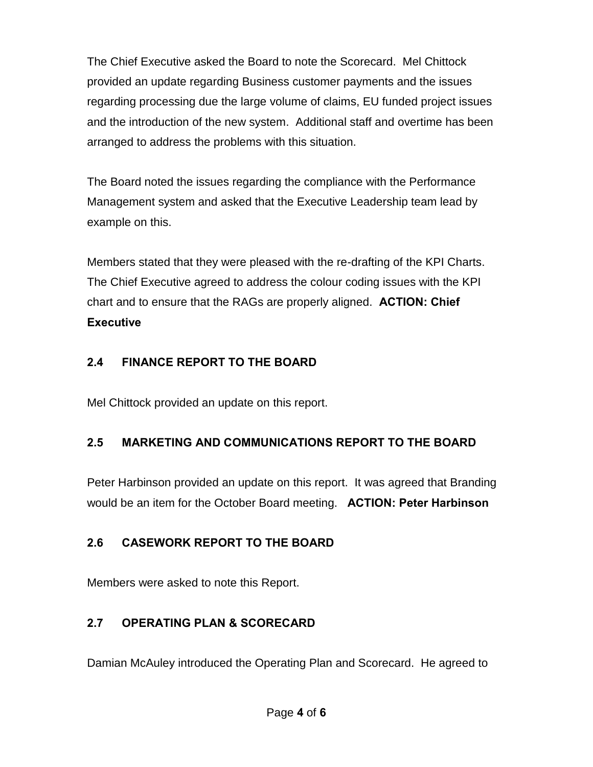The Chief Executive asked the Board to note the Scorecard. Mel Chittock provided an update regarding Business customer payments and the issues regarding processing due the large volume of claims, EU funded project issues and the introduction of the new system. Additional staff and overtime has been arranged to address the problems with this situation.

The Board noted the issues regarding the compliance with the Performance Management system and asked that the Executive Leadership team lead by example on this.

Members stated that they were pleased with the re-drafting of the KPI Charts. The Chief Executive agreed to address the colour coding issues with the KPI chart and to ensure that the RAGs are properly aligned. **ACTION: Chief Executive** 

#### **2.4 FINANCE REPORT TO THE BOARD**

Mel Chittock provided an update on this report.

# **2.5 MARKETING AND COMMUNICATIONS REPORT TO THE BOARD**

Peter Harbinson provided an update on this report. It was agreed that Branding would be an item for the October Board meeting. **ACTION: Peter Harbinson**

# **2.6 CASEWORK REPORT TO THE BOARD**

Members were asked to note this Report.

# **2.7 OPERATING PLAN & SCORECARD**

Damian McAuley introduced the Operating Plan and Scorecard. He agreed to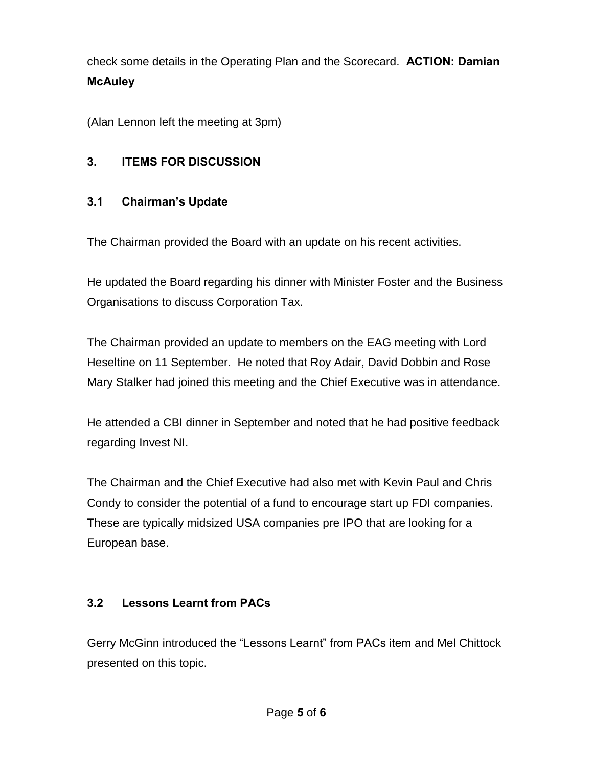check some details in the Operating Plan and the Scorecard. **ACTION: Damian McAuley**

(Alan Lennon left the meeting at 3pm)

# **3. ITEMS FOR DISCUSSION**

## **3.1 Chairman's Update**

The Chairman provided the Board with an update on his recent activities.

He updated the Board regarding his dinner with Minister Foster and the Business Organisations to discuss Corporation Tax.

The Chairman provided an update to members on the EAG meeting with Lord Heseltine on 11 September. He noted that Roy Adair, David Dobbin and Rose Mary Stalker had joined this meeting and the Chief Executive was in attendance.

He attended a CBI dinner in September and noted that he had positive feedback regarding Invest NI.

The Chairman and the Chief Executive had also met with Kevin Paul and Chris Condy to consider the potential of a fund to encourage start up FDI companies. These are typically midsized USA companies pre IPO that are looking for a European base.

## **3.2 Lessons Learnt from PACs**

Gerry McGinn introduced the "Lessons Learnt" from PACs item and Mel Chittock presented on this topic.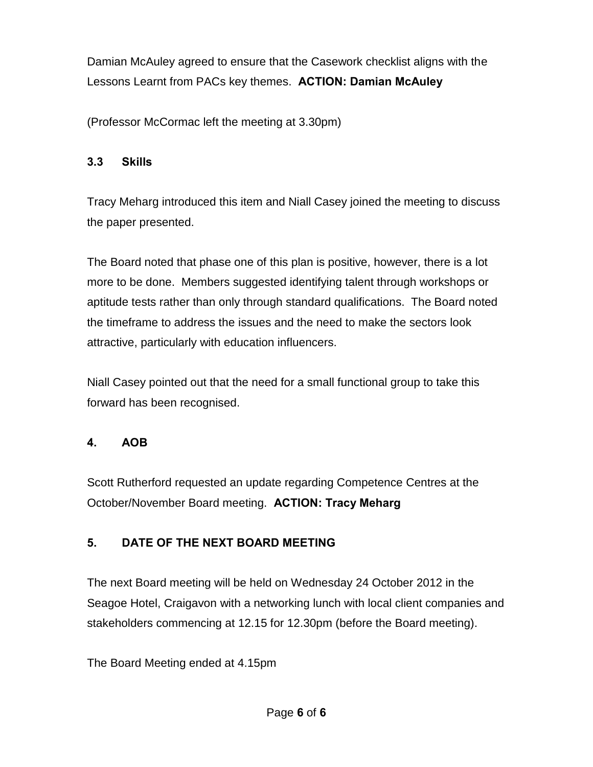Damian McAuley agreed to ensure that the Casework checklist aligns with the Lessons Learnt from PACs key themes. **ACTION: Damian McAuley** 

(Professor McCormac left the meeting at 3.30pm)

#### **3.3 Skills**

Tracy Meharg introduced this item and Niall Casey joined the meeting to discuss the paper presented.

The Board noted that phase one of this plan is positive, however, there is a lot more to be done. Members suggested identifying talent through workshops or aptitude tests rather than only through standard qualifications. The Board noted the timeframe to address the issues and the need to make the sectors look attractive, particularly with education influencers.

Niall Casey pointed out that the need for a small functional group to take this forward has been recognised.

#### **4. AOB**

Scott Rutherford requested an update regarding Competence Centres at the October/November Board meeting. **ACTION: Tracy Meharg**

## **5. DATE OF THE NEXT BOARD MEETING**

The next Board meeting will be held on Wednesday 24 October 2012 in the Seagoe Hotel, Craigavon with a networking lunch with local client companies and stakeholders commencing at 12.15 for 12.30pm (before the Board meeting).

The Board Meeting ended at 4.15pm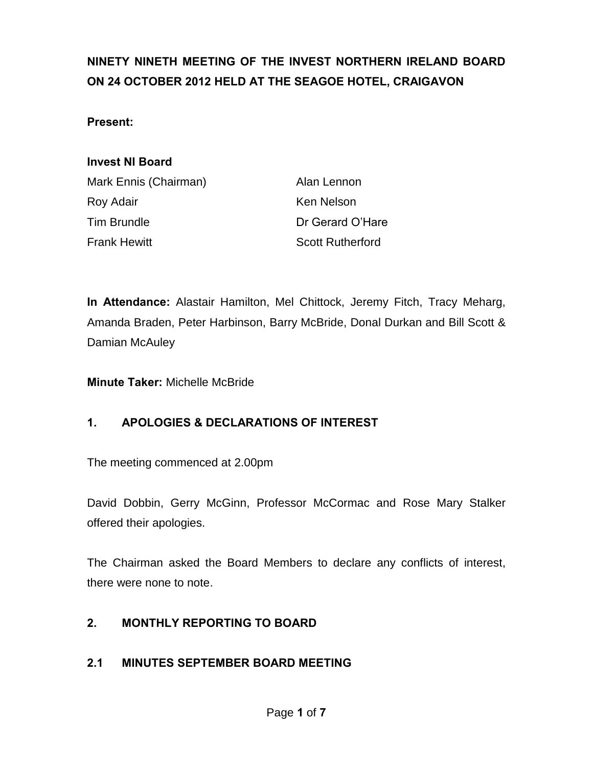# **NINETY NINETH MEETING OF THE INVEST NORTHERN IRELAND BOARD ON 24 OCTOBER 2012 HELD AT THE SEAGOE HOTEL, CRAIGAVON**

#### **Present:**

#### **Invest NI Board**

| Mark Ennis (Chairman) |  |
|-----------------------|--|
| Roy Adair             |  |
| <b>Tim Brundle</b>    |  |
| <b>Frank Hewitt</b>   |  |

Alan Lennon Ken Nelson Dr Gerard O'Hare **Scott Rutherford** 

**In Attendance:** Alastair Hamilton, Mel Chittock, Jeremy Fitch, Tracy Meharg, Amanda Braden, Peter Harbinson, Barry McBride, Donal Durkan and Bill Scott & Damian McAuley

**Minute Taker:** Michelle McBride

#### **1. APOLOGIES & DECLARATIONS OF INTEREST**

The meeting commenced at 2.00pm

David Dobbin, Gerry McGinn, Professor McCormac and Rose Mary Stalker offered their apologies.

The Chairman asked the Board Members to declare any conflicts of interest, there were none to note.

#### **2. MONTHLY REPORTING TO BOARD**

#### **2.1 MINUTES SEPTEMBER BOARD MEETING**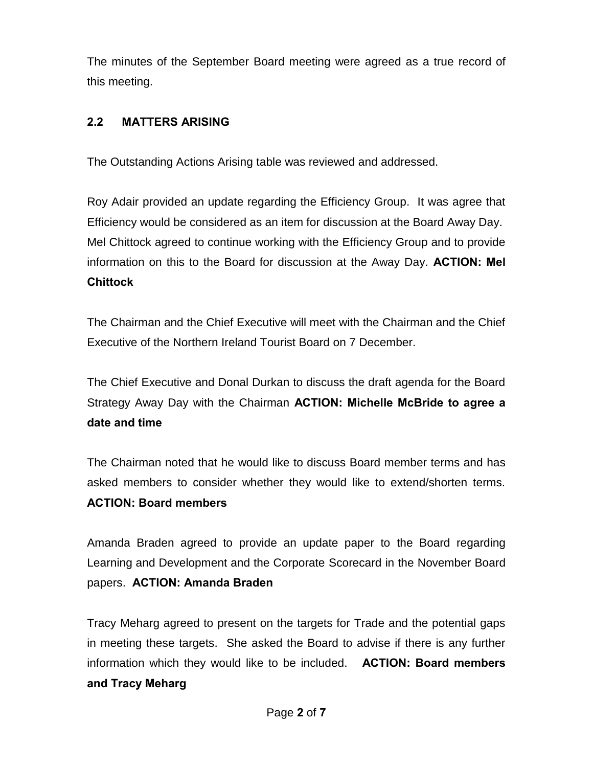The minutes of the September Board meeting were agreed as a true record of this meeting.

#### **2.2 MATTERS ARISING**

The Outstanding Actions Arising table was reviewed and addressed.

Roy Adair provided an update regarding the Efficiency Group. It was agree that Efficiency would be considered as an item for discussion at the Board Away Day. Mel Chittock agreed to continue working with the Efficiency Group and to provide information on this to the Board for discussion at the Away Day. **ACTION: Mel Chittock**

The Chairman and the Chief Executive will meet with the Chairman and the Chief Executive of the Northern Ireland Tourist Board on 7 December.

The Chief Executive and Donal Durkan to discuss the draft agenda for the Board Strategy Away Day with the Chairman **ACTION: Michelle McBride to agree a date and time** 

The Chairman noted that he would like to discuss Board member terms and has asked members to consider whether they would like to extend/shorten terms. **ACTION: Board members**

Amanda Braden agreed to provide an update paper to the Board regarding Learning and Development and the Corporate Scorecard in the November Board papers. **ACTION: Amanda Braden**

Tracy Meharg agreed to present on the targets for Trade and the potential gaps in meeting these targets. She asked the Board to advise if there is any further information which they would like to be included. **ACTION: Board members and Tracy Meharg**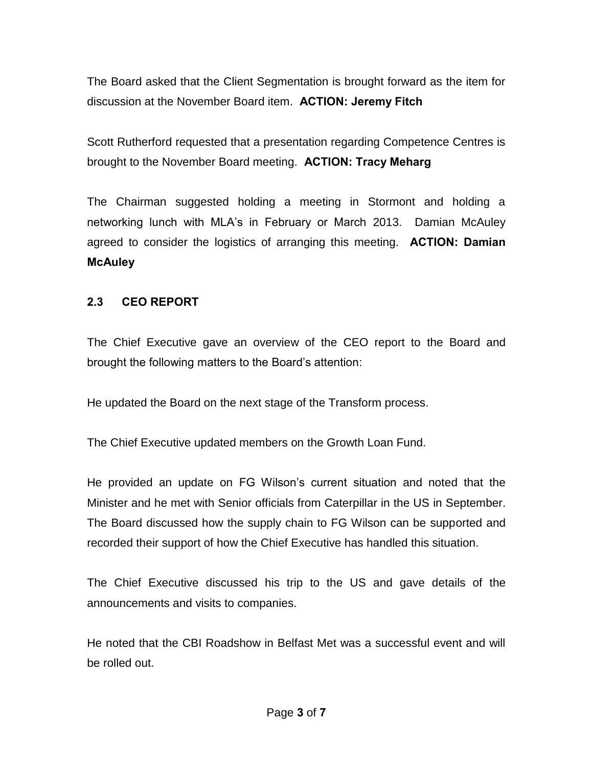The Board asked that the Client Segmentation is brought forward as the item for discussion at the November Board item. **ACTION: Jeremy Fitch** 

Scott Rutherford requested that a presentation regarding Competence Centres is brought to the November Board meeting. **ACTION: Tracy Meharg** 

The Chairman suggested holding a meeting in Stormont and holding a networking lunch with MLA's in February or March 2013. Damian McAuley agreed to consider the logistics of arranging this meeting. **ACTION: Damian McAuley**

#### **2.3 CEO REPORT**

The Chief Executive gave an overview of the CEO report to the Board and brought the following matters to the Board's attention:

He updated the Board on the next stage of the Transform process.

The Chief Executive updated members on the Growth Loan Fund.

He provided an update on FG Wilson's current situation and noted that the Minister and he met with Senior officials from Caterpillar in the US in September. The Board discussed how the supply chain to FG Wilson can be supported and recorded their support of how the Chief Executive has handled this situation.

The Chief Executive discussed his trip to the US and gave details of the announcements and visits to companies.

He noted that the CBI Roadshow in Belfast Met was a successful event and will be rolled out.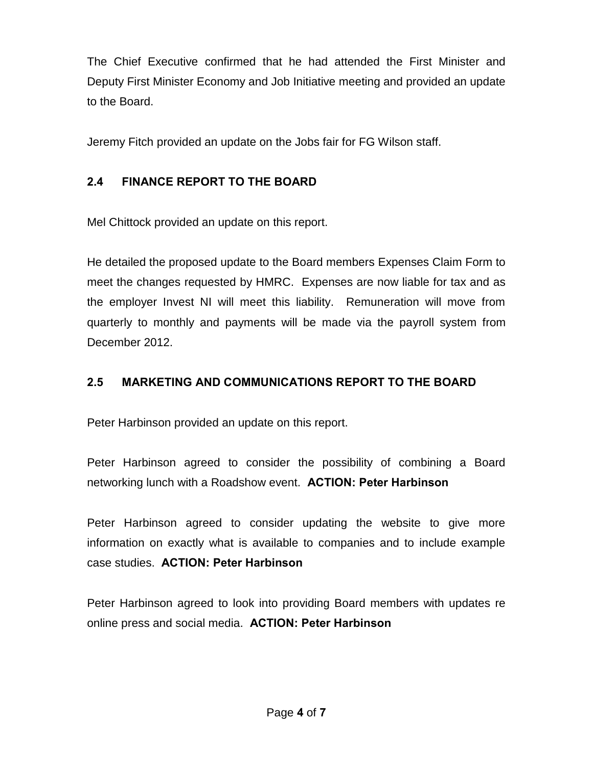The Chief Executive confirmed that he had attended the First Minister and Deputy First Minister Economy and Job Initiative meeting and provided an update to the Board.

Jeremy Fitch provided an update on the Jobs fair for FG Wilson staff.

### **2.4 FINANCE REPORT TO THE BOARD**

Mel Chittock provided an update on this report.

He detailed the proposed update to the Board members Expenses Claim Form to meet the changes requested by HMRC. Expenses are now liable for tax and as the employer Invest NI will meet this liability. Remuneration will move from quarterly to monthly and payments will be made via the payroll system from December 2012.

### **2.5 MARKETING AND COMMUNICATIONS REPORT TO THE BOARD**

Peter Harbinson provided an update on this report.

Peter Harbinson agreed to consider the possibility of combining a Board networking lunch with a Roadshow event. **ACTION: Peter Harbinson** 

Peter Harbinson agreed to consider updating the website to give more information on exactly what is available to companies and to include example case studies. **ACTION: Peter Harbinson** 

Peter Harbinson agreed to look into providing Board members with updates re online press and social media. **ACTION: Peter Harbinson**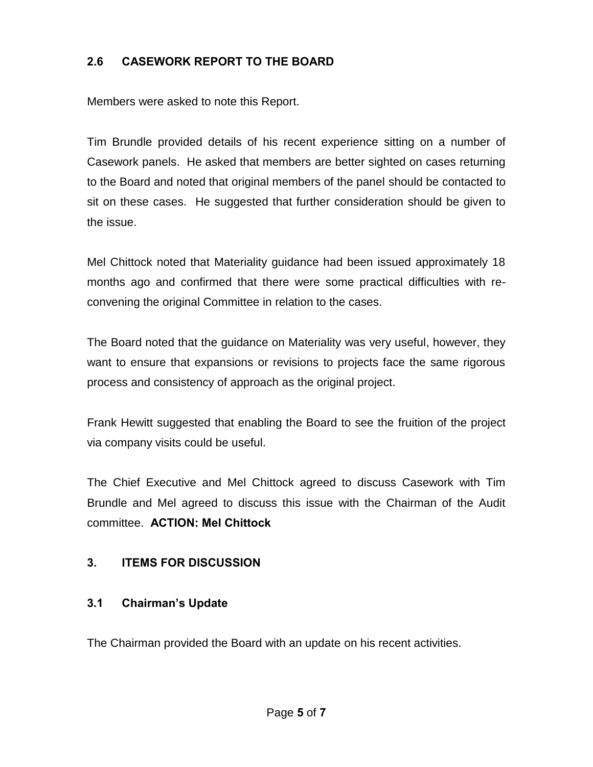#### **2.6 CASEWORK REPORT TO THE BOARD**

Members were asked to note this Report.

Tim Brundle provided details of his recent experience sitting on a number of Casework panels. He asked that members are better sighted on cases returning to the Board and noted that original members of the panel should be contacted to sit on these cases. He suggested that further consideration should be given to the issue.

Mel Chittock noted that Materiality guidance had been issued approximately 18 months ago and confirmed that there were some practical difficulties with reconvening the original Committee in relation to the cases.

The Board noted that the guidance on Materiality was very useful, however, they want to ensure that expansions or revisions to projects face the same rigorous process and consistency of approach as the original project.

Frank Hewitt suggested that enabling the Board to see the fruition of the project via company visits could be useful.

The Chief Executive and Mel Chittock agreed to discuss Casework with Tim Brundle and Mel agreed to discuss this issue with the Chairman of the Audit committee. **ACTION: Mel Chittock** 

### **3. ITEMS FOR DISCUSSION**

### **3.1 Chairman's Update**

The Chairman provided the Board with an update on his recent activities.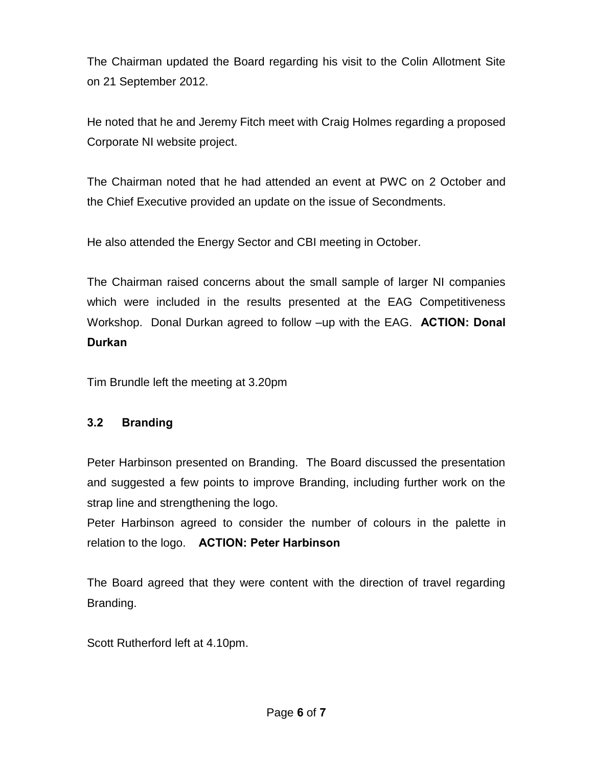The Chairman updated the Board regarding his visit to the Colin Allotment Site on 21 September 2012.

He noted that he and Jeremy Fitch meet with Craig Holmes regarding a proposed Corporate NI website project.

The Chairman noted that he had attended an event at PWC on 2 October and the Chief Executive provided an update on the issue of Secondments.

He also attended the Energy Sector and CBI meeting in October.

The Chairman raised concerns about the small sample of larger NI companies which were included in the results presented at the EAG Competitiveness Workshop. Donal Durkan agreed to follow –up with the EAG. **ACTION: Donal Durkan** 

Tim Brundle left the meeting at 3.20pm

### **3.2 Branding**

Peter Harbinson presented on Branding. The Board discussed the presentation and suggested a few points to improve Branding, including further work on the strap line and strengthening the logo.

Peter Harbinson agreed to consider the number of colours in the palette in relation to the logo. **ACTION: Peter Harbinson** 

The Board agreed that they were content with the direction of travel regarding Branding.

Scott Rutherford left at 4.10pm.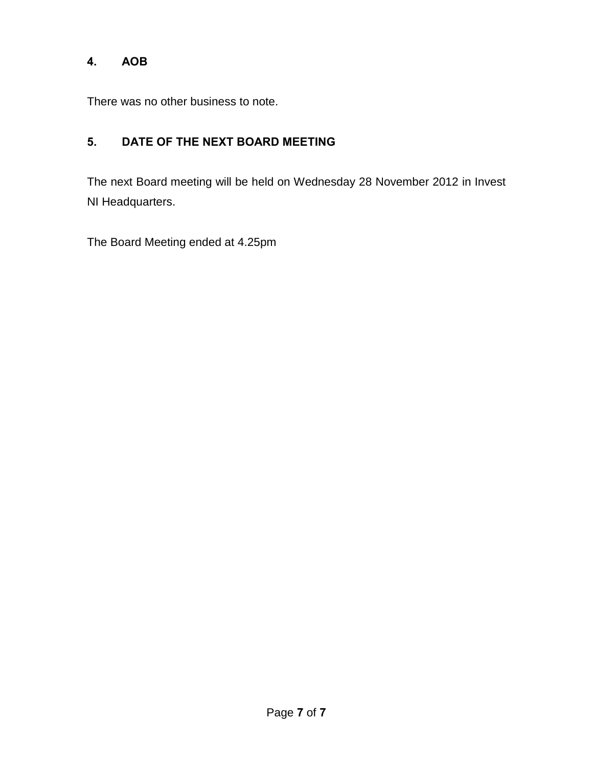### **4. AOB**

There was no other business to note.

# **5. DATE OF THE NEXT BOARD MEETING**

The next Board meeting will be held on Wednesday 28 November 2012 in Invest NI Headquarters.

The Board Meeting ended at 4.25pm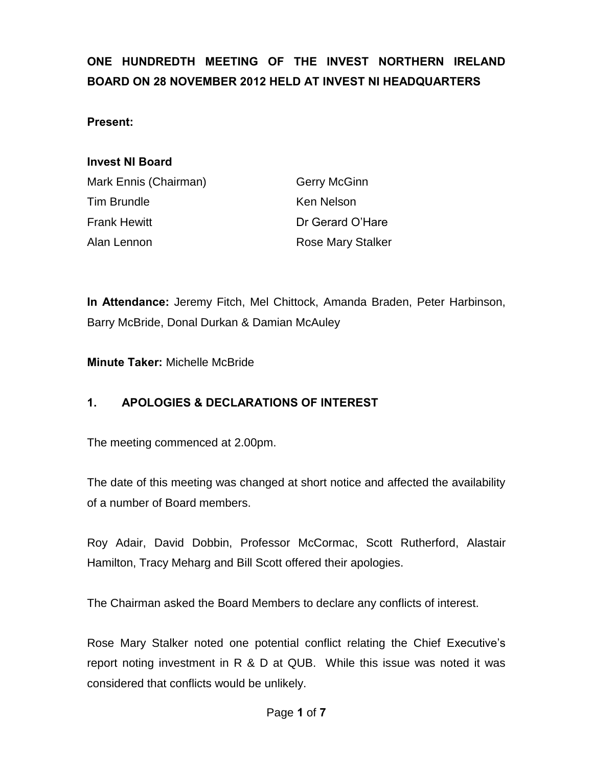# **ONE HUNDREDTH MEETING OF THE INVEST NORTHERN IRELAND BOARD ON 28 NOVEMBER 2012 HELD AT INVEST NI HEADQUARTERS**

#### **Present:**

#### **Invest NI Board**

| Mark Ennis (Chairman) | <b>Gerry McGinn</b>      |
|-----------------------|--------------------------|
| Tim Brundle           | Ken Nelson               |
| Frank Hewitt          | Dr Gerard O'Hare         |
| Alan Lennon           | <b>Rose Mary Stalker</b> |

**In Attendance:** Jeremy Fitch, Mel Chittock, Amanda Braden, Peter Harbinson, Barry McBride, Donal Durkan & Damian McAuley

**Minute Taker:** Michelle McBride

### **1. APOLOGIES & DECLARATIONS OF INTEREST**

The meeting commenced at 2.00pm.

The date of this meeting was changed at short notice and affected the availability of a number of Board members.

Roy Adair, David Dobbin, Professor McCormac, Scott Rutherford, Alastair Hamilton, Tracy Meharg and Bill Scott offered their apologies.

The Chairman asked the Board Members to declare any conflicts of interest.

Rose Mary Stalker noted one potential conflict relating the Chief Executive's report noting investment in R & D at QUB. While this issue was noted it was considered that conflicts would be unlikely.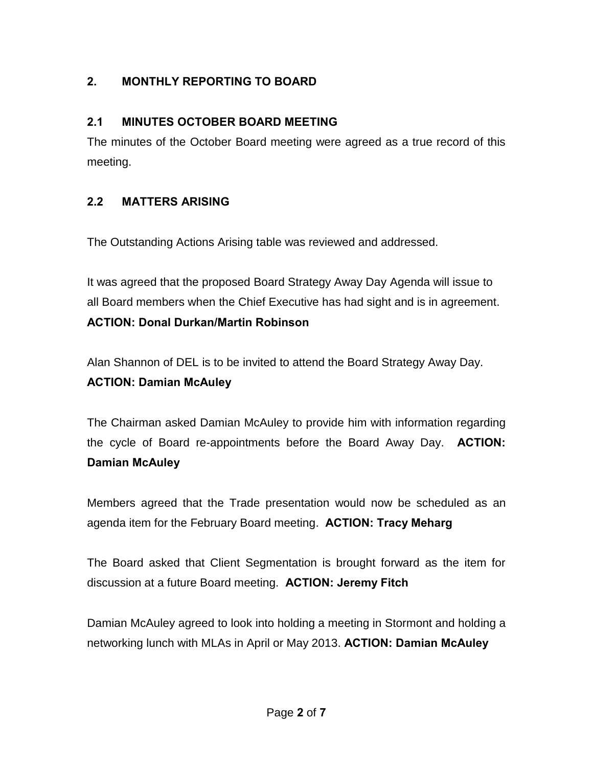# **2. MONTHLY REPORTING TO BOARD**

### **2.1 MINUTES OCTOBER BOARD MEETING**

The minutes of the October Board meeting were agreed as a true record of this meeting.

### **2.2 MATTERS ARISING**

The Outstanding Actions Arising table was reviewed and addressed.

It was agreed that the proposed Board Strategy Away Day Agenda will issue to all Board members when the Chief Executive has had sight and is in agreement. **ACTION: Donal Durkan/Martin Robinson**

Alan Shannon of DEL is to be invited to attend the Board Strategy Away Day. **ACTION: Damian McAuley**

The Chairman asked Damian McAuley to provide him with information regarding the cycle of Board re-appointments before the Board Away Day. **ACTION: Damian McAuley** 

Members agreed that the Trade presentation would now be scheduled as an agenda item for the February Board meeting. **ACTION: Tracy Meharg**

The Board asked that Client Segmentation is brought forward as the item for discussion at a future Board meeting. **ACTION: Jeremy Fitch** 

Damian McAuley agreed to look into holding a meeting in Stormont and holding a networking lunch with MLAs in April or May 2013. **ACTION: Damian McAuley**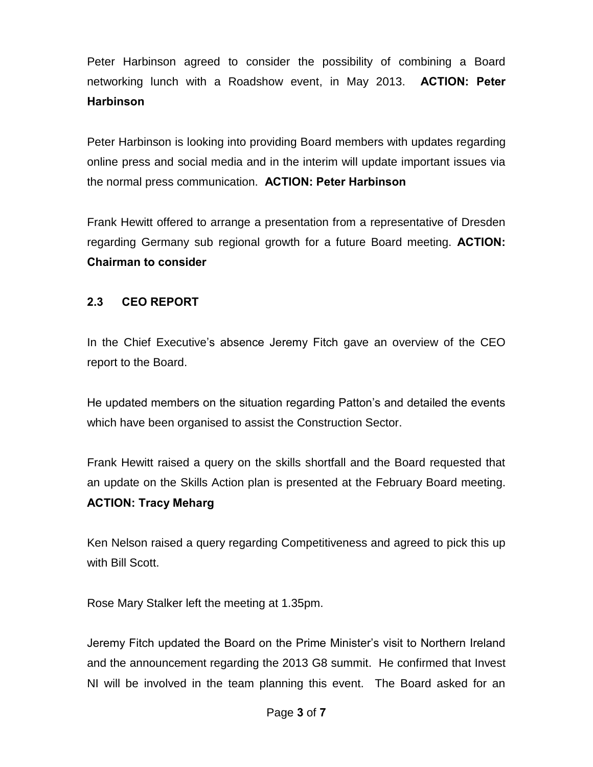Peter Harbinson agreed to consider the possibility of combining a Board networking lunch with a Roadshow event, in May 2013. **ACTION: Peter Harbinson** 

Peter Harbinson is looking into providing Board members with updates regarding online press and social media and in the interim will update important issues via the normal press communication. **ACTION: Peter Harbinson** 

Frank Hewitt offered to arrange a presentation from a representative of Dresden regarding Germany sub regional growth for a future Board meeting. **ACTION: Chairman to consider** 

#### **2.3 CEO REPORT**

In the Chief Executive's absence Jeremy Fitch gave an overview of the CEO report to the Board.

He updated members on the situation regarding Patton's and detailed the events which have been organised to assist the Construction Sector.

Frank Hewitt raised a query on the skills shortfall and the Board requested that an update on the Skills Action plan is presented at the February Board meeting. **ACTION: Tracy Meharg**

Ken Nelson raised a query regarding Competitiveness and agreed to pick this up with Bill Scott.

Rose Mary Stalker left the meeting at 1.35pm.

Jeremy Fitch updated the Board on the Prime Minister's visit to Northern Ireland and the announcement regarding the 2013 G8 summit. He confirmed that Invest NI will be involved in the team planning this event. The Board asked for an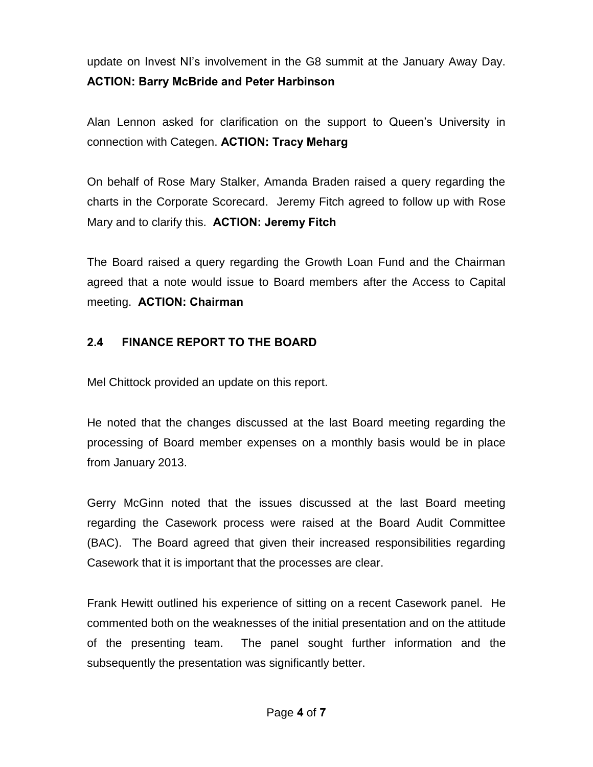update on Invest NI's involvement in the G8 summit at the January Away Day. **ACTION: Barry McBride and Peter Harbinson** 

Alan Lennon asked for clarification on the support to Queen's University in connection with Categen. **ACTION: Tracy Meharg**

On behalf of Rose Mary Stalker, Amanda Braden raised a query regarding the charts in the Corporate Scorecard. Jeremy Fitch agreed to follow up with Rose Mary and to clarify this. **ACTION: Jeremy Fitch**

The Board raised a query regarding the Growth Loan Fund and the Chairman agreed that a note would issue to Board members after the Access to Capital meeting. **ACTION: Chairman**

### **2.4 FINANCE REPORT TO THE BOARD**

Mel Chittock provided an update on this report.

He noted that the changes discussed at the last Board meeting regarding the processing of Board member expenses on a monthly basis would be in place from January 2013.

Gerry McGinn noted that the issues discussed at the last Board meeting regarding the Casework process were raised at the Board Audit Committee (BAC). The Board agreed that given their increased responsibilities regarding Casework that it is important that the processes are clear.

Frank Hewitt outlined his experience of sitting on a recent Casework panel. He commented both on the weaknesses of the initial presentation and on the attitude of the presenting team. The panel sought further information and the subsequently the presentation was significantly better.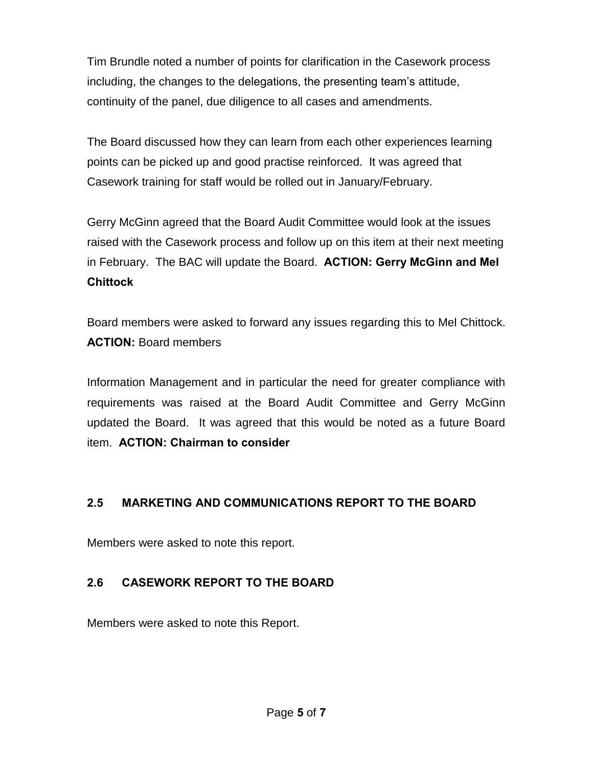Tim Brundle noted a number of points for clarification in the Casework process including, the changes to the delegations, the presenting team's attitude, continuity of the panel, due diligence to all cases and amendments.

The Board discussed how they can learn from each other experiences learning points can be picked up and good practise reinforced. It was agreed that Casework training for staff would be rolled out in January/February.

Gerry McGinn agreed that the Board Audit Committee would look at the issues raised with the Casework process and follow up on this item at their next meeting in February. The BAC will update the Board. **ACTION: Gerry McGinn and Mel Chittock**

Board members were asked to forward any issues regarding this to Mel Chittock. **ACTION:** Board members

Information Management and in particular the need for greater compliance with requirements was raised at the Board Audit Committee and Gerry McGinn updated the Board. It was agreed that this would be noted as a future Board item. **ACTION: Chairman to consider** 

### **2.5 MARKETING AND COMMUNICATIONS REPORT TO THE BOARD**

Members were asked to note this report.

### **2.6 CASEWORK REPORT TO THE BOARD**

Members were asked to note this Report.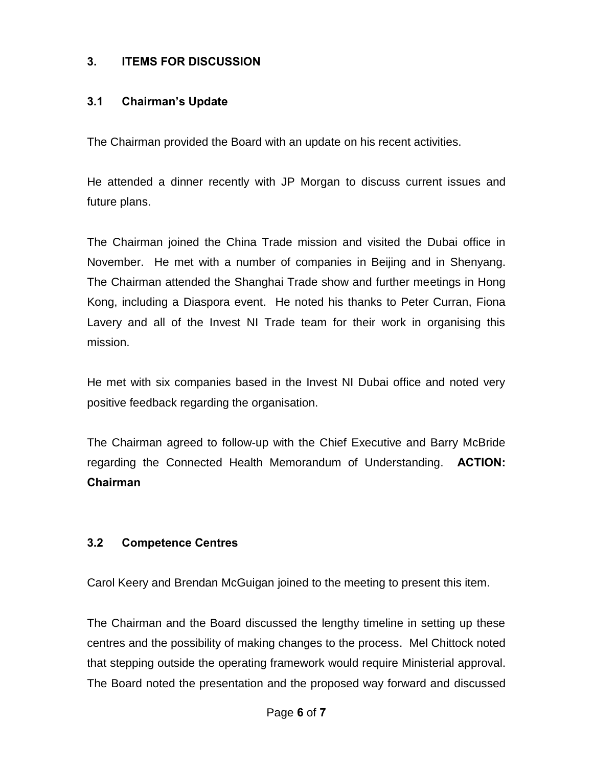### **3. ITEMS FOR DISCUSSION**

#### **3.1 Chairman's Update**

The Chairman provided the Board with an update on his recent activities.

He attended a dinner recently with JP Morgan to discuss current issues and future plans.

The Chairman joined the China Trade mission and visited the Dubai office in November. He met with a number of companies in Beijing and in Shenyang. The Chairman attended the Shanghai Trade show and further meetings in Hong Kong, including a Diaspora event. He noted his thanks to Peter Curran, Fiona Lavery and all of the Invest NI Trade team for their work in organising this mission.

He met with six companies based in the Invest NI Dubai office and noted very positive feedback regarding the organisation.

The Chairman agreed to follow-up with the Chief Executive and Barry McBride regarding the Connected Health Memorandum of Understanding. **ACTION: Chairman**

### **3.2 Competence Centres**

Carol Keery and Brendan McGuigan joined to the meeting to present this item.

The Chairman and the Board discussed the lengthy timeline in setting up these centres and the possibility of making changes to the process. Mel Chittock noted that stepping outside the operating framework would require Ministerial approval. The Board noted the presentation and the proposed way forward and discussed